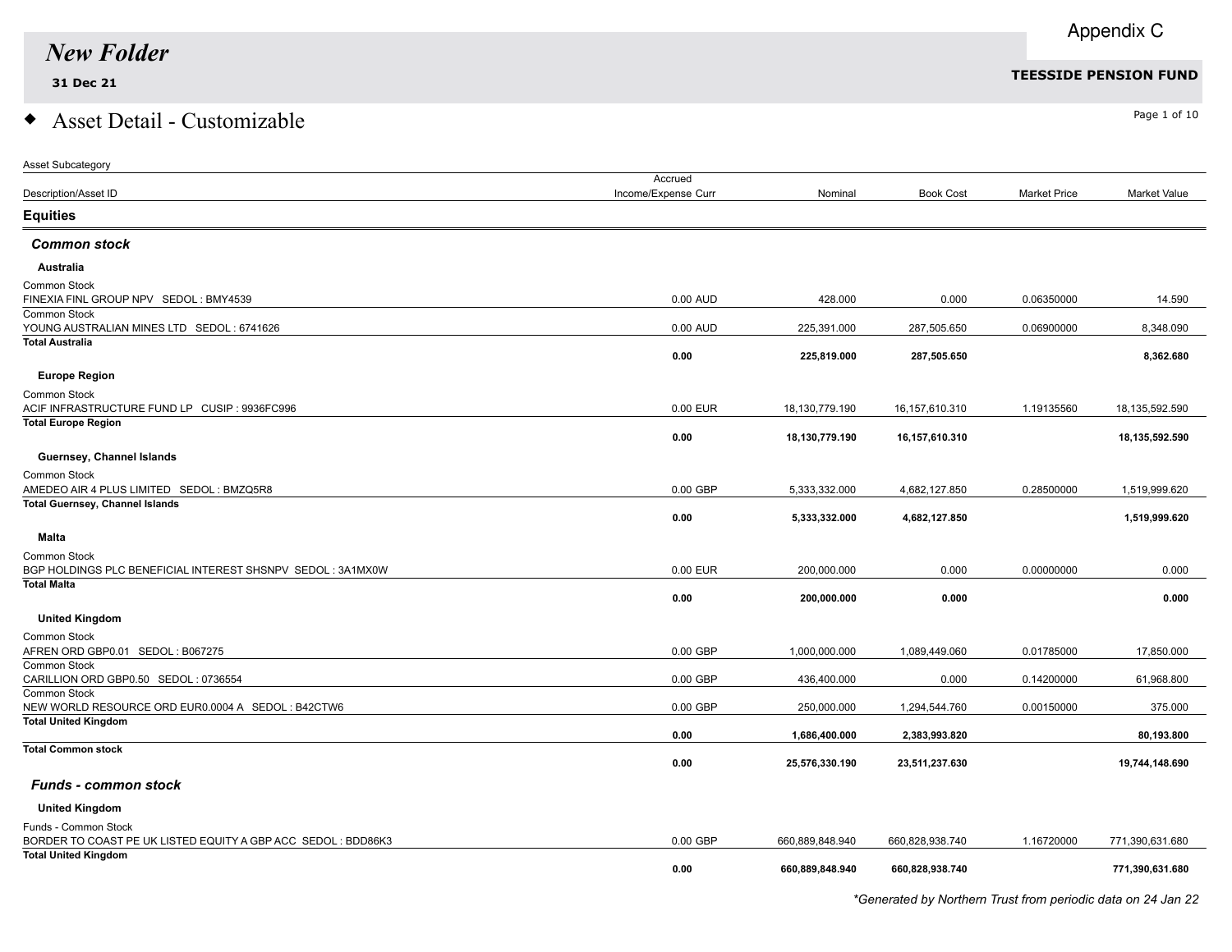### $\bullet$  Asset Detail - Customizable  $\bullet$

| Asset Subcategory                                                                           |                     |                 |                  |                     |                 |
|---------------------------------------------------------------------------------------------|---------------------|-----------------|------------------|---------------------|-----------------|
|                                                                                             | Accrued             |                 |                  |                     |                 |
| <b>Description/Asset ID</b>                                                                 | Income/Expense Curr | Nominal         | <b>Book Cost</b> | <b>Market Price</b> | Market Value    |
| <b>Equities</b>                                                                             |                     |                 |                  |                     |                 |
| <b>Common stock</b>                                                                         |                     |                 |                  |                     |                 |
| Australia                                                                                   |                     |                 |                  |                     |                 |
| <b>Common Stock</b>                                                                         |                     |                 |                  |                     |                 |
| FINEXIA FINL GROUP NPV SEDOL: BMY4539                                                       | 0.00 AUD            | 428.000         | 0.000            | 0.06350000          | 14.590          |
| Common Stock                                                                                |                     |                 |                  |                     |                 |
| YOUNG AUSTRALIAN MINES LTD SEDOL: 6741626<br><b>Total Australia</b>                         | 0.00 AUD            | 225,391.000     | 287,505.650      | 0.06900000          | 8.348.090       |
|                                                                                             | 0.00                | 225,819.000     | 287,505.650      |                     | 8,362.680       |
|                                                                                             |                     |                 |                  |                     |                 |
| <b>Europe Region</b>                                                                        |                     |                 |                  |                     |                 |
| <b>Common Stock</b>                                                                         |                     |                 |                  |                     |                 |
| ACIF INFRASTRUCTURE FUND LP CUSIP : 9936FC996                                               | 0.00 EUR            | 18,130,779.190  | 16,157,610.310   | 1.19135560          | 18,135,592.590  |
| <b>Total Europe Region</b>                                                                  | 0.00                | 18,130,779.190  | 16,157,610.310   |                     | 18,135,592.590  |
|                                                                                             |                     |                 |                  |                     |                 |
| Guernsey, Channel Islands                                                                   |                     |                 |                  |                     |                 |
| Common Stock                                                                                |                     |                 |                  |                     |                 |
| AMEDEO AIR 4 PLUS LIMITED SEDOL: BMZQ5R8                                                    | 0.00 GBP            | 5,333,332.000   | 4,682,127.850    | 0.28500000          | 1,519,999.620   |
| <b>Total Guernsey, Channel Islands</b>                                                      | 0.00                | 5,333,332.000   | 4,682,127.850    |                     | 1,519,999.620   |
|                                                                                             |                     |                 |                  |                     |                 |
| <b>Malta</b>                                                                                |                     |                 |                  |                     |                 |
| <b>Common Stock</b>                                                                         |                     |                 |                  |                     |                 |
| BGP HOLDINGS PLC BENEFICIAL INTEREST SHSNPV SEDOL: 3A1MX0W                                  | 0.00 EUR            | 200,000.000     | 0.000            | 0.00000000          | 0.000           |
| <b>Total Malta</b>                                                                          | 0.00                | 200,000.000     | 0.000            |                     | 0.000           |
|                                                                                             |                     |                 |                  |                     |                 |
| <b>United Kingdom</b>                                                                       |                     |                 |                  |                     |                 |
| <b>Common Stock</b>                                                                         |                     |                 |                  |                     |                 |
| AFREN ORD GBP0.01 SEDOL: B067275                                                            | 0.00 GBP            | 1,000,000.000   | 1,089,449.060    | 0.01785000          | 17,850.000      |
| Common Stock                                                                                | 0.00 GBP            |                 |                  |                     |                 |
| CARILLION ORD GBP0.50 SEDOL: 0736554<br><b>Common Stock</b>                                 |                     | 436,400.000     | 0.000            | 0.14200000          | 61,968.800      |
| NEW WORLD RESOURCE ORD EUR0.0004 A SEDOL : B42CTW6                                          | 0.00 GBP            | 250,000.000     | 1,294,544.760    | 0.00150000          | 375.000         |
| <b>Total United Kingdom</b>                                                                 |                     |                 |                  |                     |                 |
|                                                                                             | 0.00                | 1,686,400.000   | 2,383,993.820    |                     | 80,193.800      |
| <b>Total Common stock</b>                                                                   |                     |                 |                  |                     |                 |
|                                                                                             | 0.00                | 25,576,330.190  | 23,511,237.630   |                     | 19,744,148.690  |
| <b>Funds - common stock</b>                                                                 |                     |                 |                  |                     |                 |
| <b>United Kingdom</b>                                                                       |                     |                 |                  |                     |                 |
|                                                                                             |                     |                 |                  |                     |                 |
| Funds - Common Stock                                                                        | 0.00 GBP            |                 |                  |                     |                 |
| BORDER TO COAST PE UK LISTED EQUITY A GBP ACC SEDOL: BDD86K3<br><b>Total United Kingdom</b> |                     | 660,889,848.940 | 660,828,938.740  | 1.16720000          | 771,390,631.680 |
|                                                                                             | 0.00                | 660,889,848.940 | 660,828,938.740  |                     | 771,390,631.680 |
|                                                                                             |                     |                 |                  |                     |                 |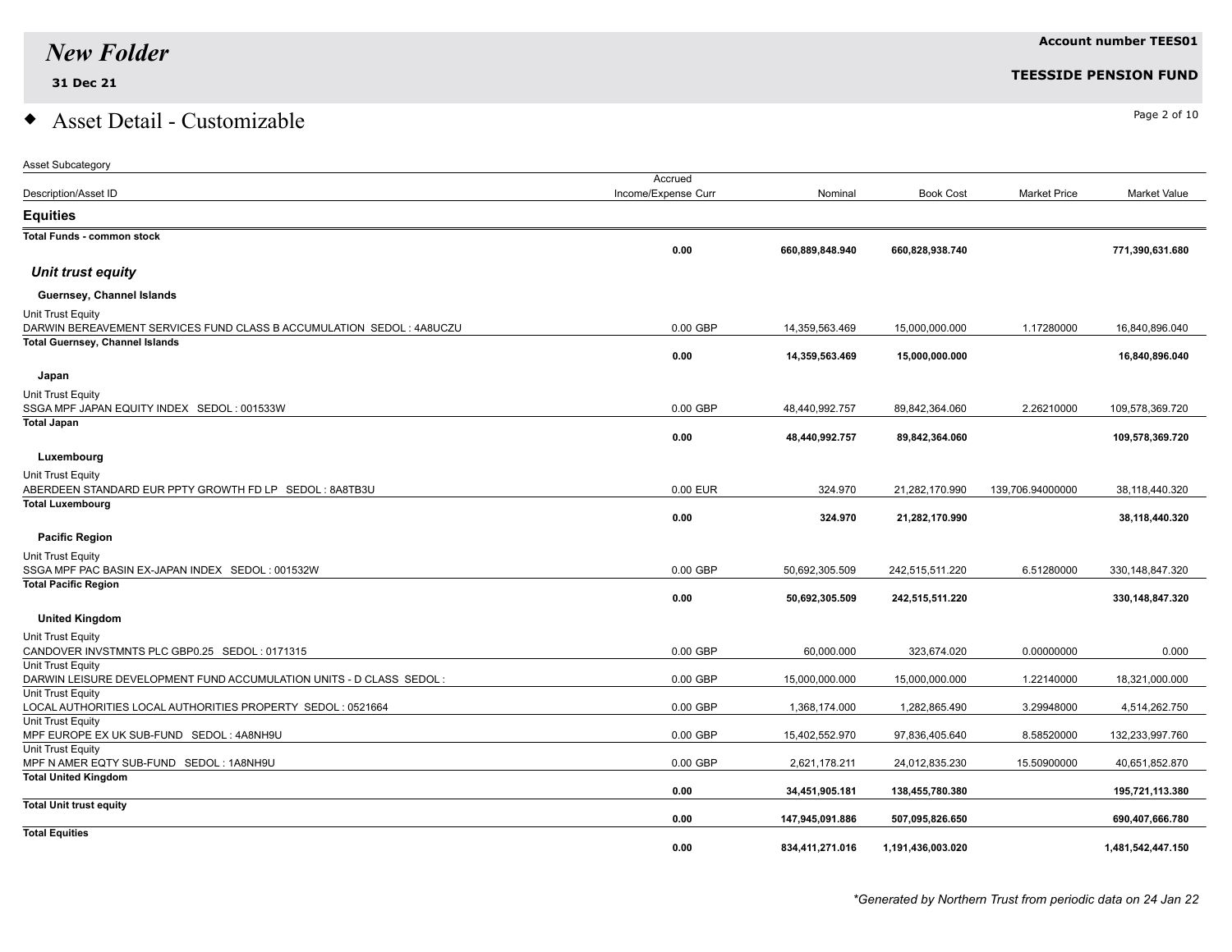Asset Subcategory

## $\bullet$  Asset Detail - Customizable  $\bullet$

|                                                                       | Accrued             |                 |                   |                     |                     |
|-----------------------------------------------------------------------|---------------------|-----------------|-------------------|---------------------|---------------------|
| Description/Asset ID                                                  | Income/Expense Curr | Nominal         | <b>Book Cost</b>  | <b>Market Price</b> | <b>Market Value</b> |
| <b>Equities</b>                                                       |                     |                 |                   |                     |                     |
| <b>Total Funds - common stock</b>                                     |                     |                 |                   |                     |                     |
|                                                                       | 0.00                | 660,889,848.940 | 660,828,938.740   |                     | 771,390,631.680     |
| Unit trust equity                                                     |                     |                 |                   |                     |                     |
| Guernsey, Channel Islands                                             |                     |                 |                   |                     |                     |
| Unit Trust Equity                                                     |                     |                 |                   |                     |                     |
| DARWIN BEREAVEMENT SERVICES FUND CLASS B ACCUMULATION SEDOL : 4A8UCZU | $0.00$ GBP          | 14,359,563.469  | 15,000,000.000    | 1.17280000          | 16,840,896.040      |
| <b>Total Guernsey, Channel Islands</b>                                |                     |                 |                   |                     |                     |
|                                                                       | 0.00                | 14,359,563.469  | 15,000,000.000    |                     | 16,840,896.040      |
| Japan                                                                 |                     |                 |                   |                     |                     |
| Unit Trust Equity                                                     |                     |                 |                   |                     |                     |
| SSGA MPF JAPAN EQUITY INDEX SEDOL: 001533W                            | $0.00$ GBP          | 48,440,992.757  | 89,842,364.060    | 2.26210000          | 109,578,369.720     |
| <b>Total Japan</b>                                                    |                     |                 |                   |                     |                     |
|                                                                       | 0.00                | 48,440,992.757  | 89,842,364.060    |                     | 109,578,369.720     |
| Luxembourg                                                            |                     |                 |                   |                     |                     |
| Unit Trust Equity                                                     |                     |                 |                   |                     |                     |
| ABERDEEN STANDARD EUR PPTY GROWTH FD LP SEDOL: 8A8TB3U                | 0.00 EUR            | 324.970         | 21,282,170.990    | 139,706.94000000    | 38,118,440.320      |
| <b>Total Luxembourg</b>                                               |                     |                 |                   |                     |                     |
|                                                                       | 0.00                | 324.970         | 21,282,170.990    |                     | 38,118,440.320      |
| <b>Pacific Region</b>                                                 |                     |                 |                   |                     |                     |
| Unit Trust Equity                                                     |                     |                 |                   |                     |                     |
| SSGA MPF PAC BASIN EX-JAPAN INDEX SEDOL: 001532W                      | $0.00$ GBP          | 50,692,305.509  | 242,515,511.220   | 6.51280000          | 330, 148, 847. 320  |
| <b>Total Pacific Region</b>                                           |                     |                 |                   |                     |                     |
|                                                                       | 0.00                | 50,692,305.509  | 242,515,511.220   |                     | 330,148,847.320     |
| <b>United Kingdom</b>                                                 |                     |                 |                   |                     |                     |
| Unit Trust Equity                                                     |                     |                 |                   |                     |                     |
| CANDOVER INVSTMNTS PLC GBP0.25 SEDOL: 0171315                         | $0.00$ GBP          | 60,000.000      | 323,674.020       | 0.00000000          | 0.000               |
| Unit Trust Equity                                                     |                     |                 |                   |                     |                     |
| DARWIN LEISURE DEVELOPMENT FUND ACCUMULATION UNITS - D CLASS SEDOL :  | $0.00$ GBP          | 15,000,000.000  | 15,000,000.000    | 1.22140000          | 18,321,000.000      |
| Unit Trust Equity                                                     |                     |                 |                   |                     |                     |
| LOCAL AUTHORITIES LOCAL AUTHORITIES PROPERTY SEDOL: 0521664           | $0.00$ GBP          | 1,368,174.000   | 1,282,865.490     | 3.29948000          | 4,514,262.750       |
| Unit Trust Equity                                                     |                     |                 |                   |                     |                     |
| MPF EUROPE EX UK SUB-FUND SEDOL: 4A8NH9U                              | $0.00$ GBP          | 15,402,552.970  | 97,836,405.640    | 8.58520000          | 132,233,997.760     |
| Unit Trust Equity<br>MPF N AMER EQTY SUB-FUND SEDOL: 1A8NH9U          | $0.00$ GBP          | 2,621,178.211   | 24,012,835.230    | 15.50900000         | 40,651,852.870      |
| <b>Total United Kingdom</b>                                           |                     |                 |                   |                     |                     |
|                                                                       | 0.00                | 34,451,905.181  | 138,455,780.380   |                     | 195,721,113.380     |
| <b>Total Unit trust equity</b>                                        |                     |                 |                   |                     |                     |
|                                                                       | 0.00                | 147,945,091.886 | 507,095,826.650   |                     | 690,407,666.780     |
| <b>Total Equities</b>                                                 |                     |                 |                   |                     |                     |
|                                                                       | 0.00                | 834,411,271.016 | 1,191,436,003.020 |                     | 1,481,542,447.150   |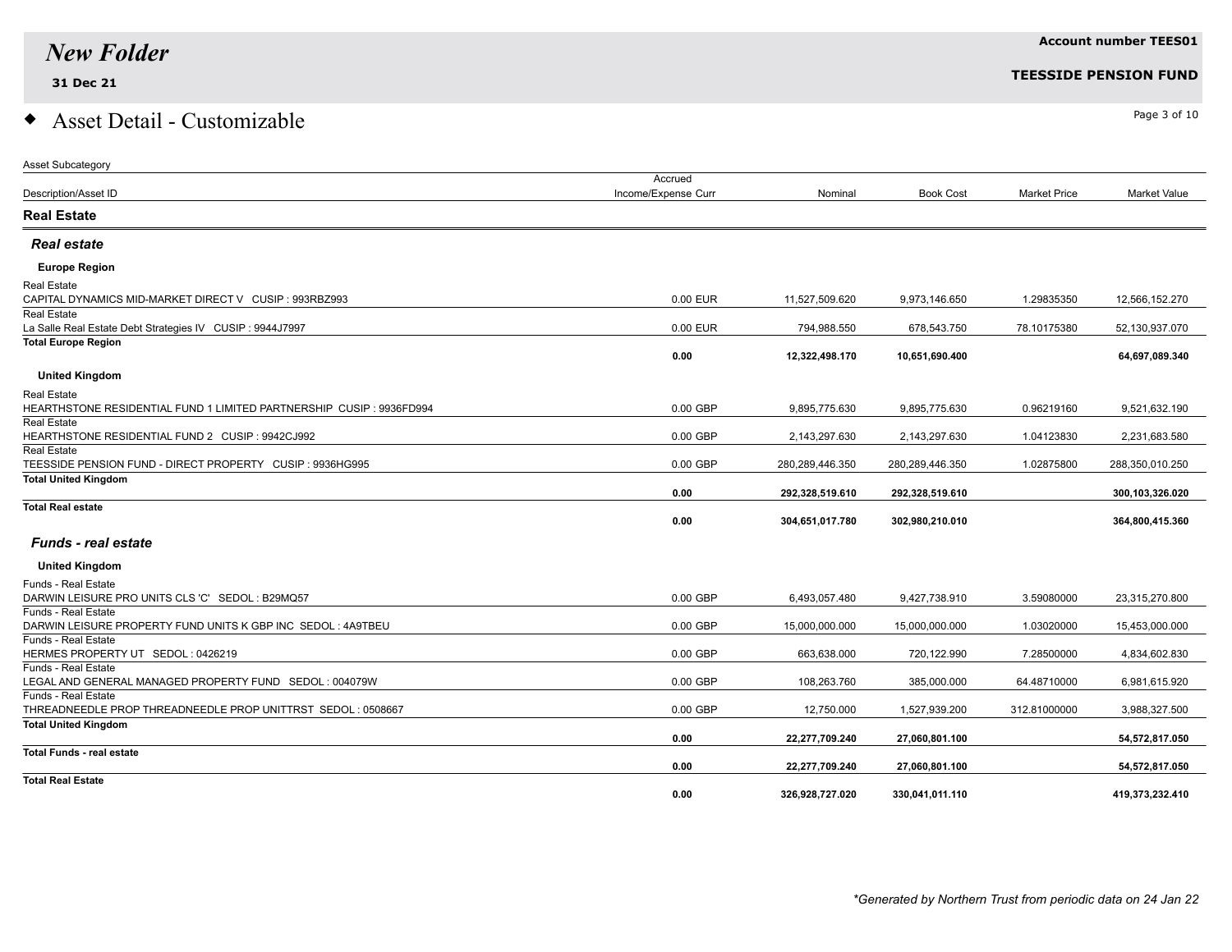**Total Real Estate**

### $\bullet$  Asset Detail - Customizable  $\bullet$

| <b>Asset Subcategory</b>                                                      |                     |                 |                    |                     |                     |
|-------------------------------------------------------------------------------|---------------------|-----------------|--------------------|---------------------|---------------------|
|                                                                               | Accrued             |                 |                    |                     |                     |
| Description/Asset ID                                                          | Income/Expense Curr | Nominal         | <b>Book Cost</b>   | <b>Market Price</b> | <b>Market Value</b> |
| <b>Real Estate</b>                                                            |                     |                 |                    |                     |                     |
| <b>Real estate</b>                                                            |                     |                 |                    |                     |                     |
| <b>Europe Region</b>                                                          |                     |                 |                    |                     |                     |
| <b>Real Estate</b>                                                            |                     |                 |                    |                     |                     |
| CAPITAL DYNAMICS MID-MARKET DIRECT V CUSIP : 993RBZ993                        | 0.00 EUR            | 11,527,509.620  | 9,973,146.650      | 1.29835350          | 12,566,152.270      |
| <b>Real Estate</b>                                                            |                     |                 |                    |                     |                     |
| La Salle Real Estate Debt Strategies IV CUSIP : 9944J7997                     | 0.00 EUR            | 794,988.550     | 678,543.750        | 78.10175380         | 52,130,937.070      |
| <b>Total Europe Region</b>                                                    |                     |                 |                    |                     |                     |
|                                                                               | 0.00                | 12,322,498.170  | 10,651,690.400     |                     | 64,697,089.340      |
| <b>United Kingdom</b>                                                         |                     |                 |                    |                     |                     |
| <b>Real Estate</b>                                                            |                     |                 |                    |                     |                     |
| HEARTHSTONE RESIDENTIAL FUND 1 LIMITED PARTNERSHIP CUSIP : 9936FD994          | 0.00 GBP            | 9,895,775.630   | 9,895,775.630      | 0.96219160          | 9,521,632.190       |
| <b>Real Estate</b>                                                            |                     |                 |                    |                     |                     |
| HEARTHSTONE RESIDENTIAL FUND 2 CUSIP : 9942CJ992                              | 0.00 GBP            | 2,143,297.630   | 2,143,297.630      | 1.04123830          | 2,231,683.580       |
| <b>Real Estate</b>                                                            |                     |                 |                    |                     |                     |
| TEESSIDE PENSION FUND - DIRECT PROPERTY CUSIP : 9936HG995                     | 0.00 GBP            | 280,289,446.350 | 280, 289, 446. 350 | 1.02875800          | 288,350,010.250     |
| <b>Total United Kingdom</b>                                                   |                     |                 |                    |                     |                     |
|                                                                               | 0.00                | 292,328,519.610 | 292,328,519.610    |                     | 300,103,326.020     |
| <b>Total Real estate</b>                                                      | 0.00                | 304,651,017.780 | 302,980,210.010    |                     | 364,800,415.360     |
| <b>Funds - real estate</b>                                                    |                     |                 |                    |                     |                     |
| <b>United Kingdom</b>                                                         |                     |                 |                    |                     |                     |
|                                                                               |                     |                 |                    |                     |                     |
| <b>Funds - Real Estate</b><br>DARWIN LEISURE PRO UNITS CLS 'C' SEDOL: B29MQ57 | 0.00 GBP            |                 | 9,427,738.910      | 3.59080000          | 23,315,270.800      |
| <b>Funds - Real Estate</b>                                                    |                     | 6,493,057.480   |                    |                     |                     |
| DARWIN LEISURE PROPERTY FUND UNITS K GBP INC SEDOL: 4A9TBEU                   | 0.00 GBP            | 15,000,000.000  | 15,000,000.000     | 1.03020000          | 15,453,000.000      |
| Funds - Real Estate                                                           |                     |                 |                    |                     |                     |
| HERMES PROPERTY UT SEDOL: 0426219                                             | 0.00 GBP            | 663,638.000     | 720,122.990        | 7.28500000          | 4,834,602.830       |
| Funds - Real Estate                                                           |                     |                 |                    |                     |                     |
| LEGAL AND GENERAL MANAGED PROPERTY FUND SEDOL: 004079W                        | 0.00 GBP            | 108,263.760     | 385,000.000        | 64.48710000         | 6,981,615.920       |
| Funds - Real Estate                                                           |                     |                 |                    |                     |                     |
| THREADNEEDLE PROP THREADNEEDLE PROP UNITTRST SEDOL: 0508667                   | 0.00 GBP            | 12,750.000      | 1,527,939.200      | 312.81000000        | 3,988,327.500       |
| <b>Total United Kingdom</b>                                                   |                     |                 |                    |                     |                     |
|                                                                               | 0.00                | 22,277,709.240  | 27,060,801.100     |                     | 54,572,817.050      |
| <b>Total Funds - real estate</b>                                              |                     |                 |                    |                     |                     |

#### **31 Dec 21 TEESSIDE PENSION FUND**

 **0.00 22,277,709.240 27,060,801.100 54,572,817.050**

 **0.00 326,928,727.020 330,041,011.110 419,373,232.410**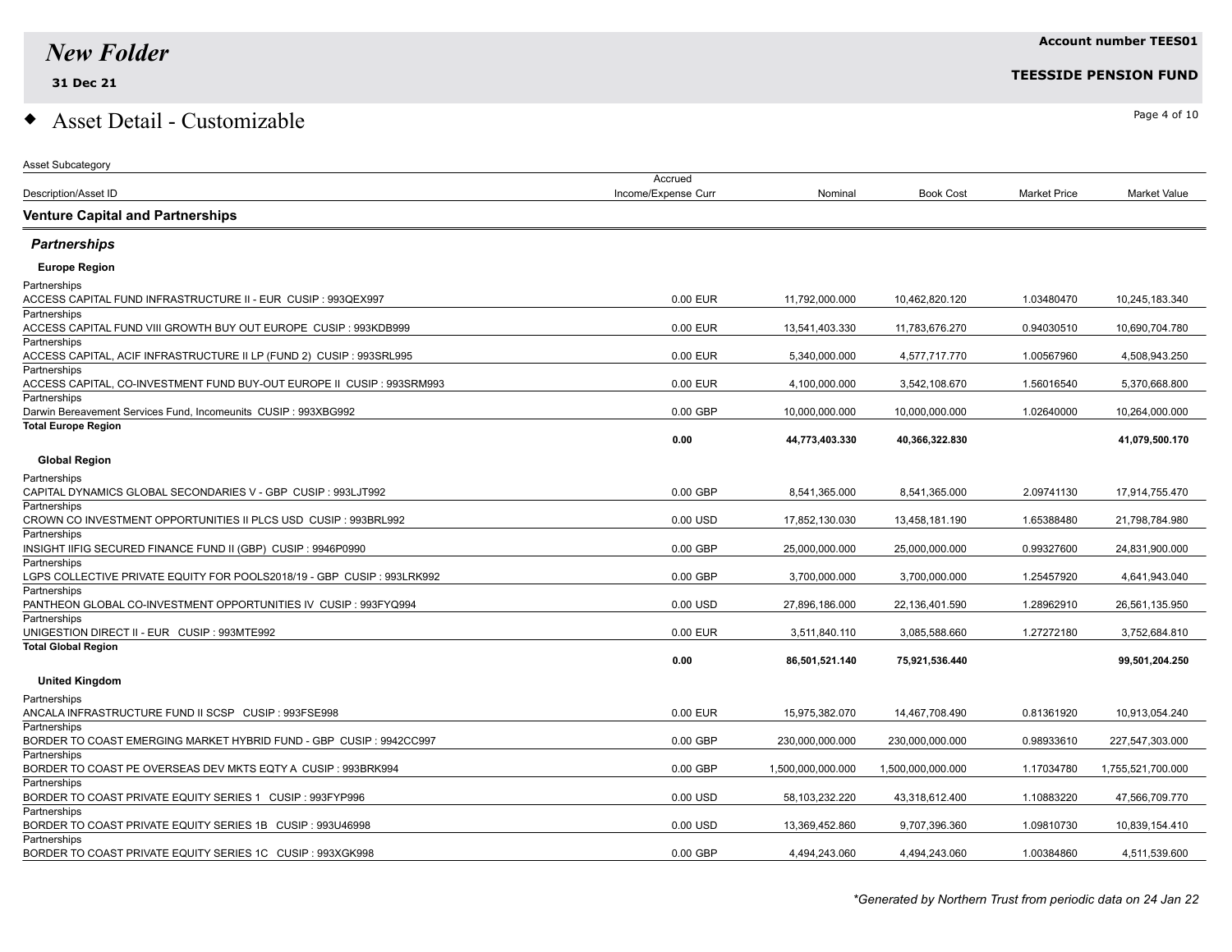Asset Subcategory

### $\bullet$  Asset Detail - Customizable  $\bullet$

| <b>Description/Asset ID</b><br>Income/Expense Curr<br>Nominal<br><b>Book Cost</b><br><b>Market Price</b>                                           | Market Value      |
|----------------------------------------------------------------------------------------------------------------------------------------------------|-------------------|
| <b>Venture Capital and Partnerships</b>                                                                                                            |                   |
| <b>Partnerships</b>                                                                                                                                |                   |
| <b>Europe Region</b>                                                                                                                               |                   |
| Partnerships                                                                                                                                       |                   |
| ACCESS CAPITAL FUND INFRASTRUCTURE II - EUR CUSIP : 993QEX997<br>0.00 EUR<br>11,792,000.000<br>10,462,820.120<br>1.03480470                        | 10,245,183.340    |
| Partnerships                                                                                                                                       |                   |
| ACCESS CAPITAL FUND VIII GROWTH BUY OUT EUROPE CUSIP : 993KDB999<br>0.00 EUR<br>13,541,403.330<br>11,783,676.270<br>0.94030510                     | 10,690,704.780    |
| Partnerships                                                                                                                                       |                   |
| ACCESS CAPITAL, ACIF INFRASTRUCTURE II LP (FUND 2) CUSIP : 993SRL995<br>0.00 EUR<br>5,340,000.000<br>4,577,717.770<br>1.00567960                   | 4,508,943.250     |
| Partnerships                                                                                                                                       |                   |
| ACCESS CAPITAL, CO-INVESTMENT FUND BUY-OUT EUROPE II CUSIP : 993SRM993<br>0.00 EUR<br>4,100,000.000<br>3,542,108.670<br>1.56016540<br>Partnerships | 5,370,668.800     |
| Darwin Bereavement Services Fund, Incomeunits CUSIP: 993XBG992<br>$0.00$ GBP<br>10,000,000.000<br>10,000,000.000<br>1.02640000                     | 10,264,000.000    |
| <b>Total Europe Region</b>                                                                                                                         |                   |
| 0.00<br>44,773,403.330<br>40,366,322.830                                                                                                           | 41,079,500.170    |
| <b>Global Region</b>                                                                                                                               |                   |
| Partnerships                                                                                                                                       |                   |
| CAPITAL DYNAMICS GLOBAL SECONDARIES V - GBP CUSIP : 993LJT992<br>$0.00$ GBP<br>8,541,365.000<br>8,541,365.000<br>2.09741130                        | 17,914,755.470    |
| Partnerships                                                                                                                                       |                   |
| CROWN CO INVESTMENT OPPORTUNITIES II PLCS USD CUSIP : 993BRL992<br>0.00 USD<br>17,852,130.030<br>13,458,181.190<br>1.65388480                      | 21,798,784.980    |
| Partnerships                                                                                                                                       |                   |
| $0.00$ GBP<br>INSIGHT IIFIG SECURED FINANCE FUND II (GBP) CUSIP : 9946P0990<br>25,000,000.000<br>25,000,000.000<br>0.99327600                      | 24,831,900.000    |
| Partnerships                                                                                                                                       |                   |
| LGPS COLLECTIVE PRIVATE EQUITY FOR POOLS2018/19 - GBP CUSIP : 993LRK992<br>$0.00$ GBP<br>3,700,000.000<br>3,700,000.000<br>1.25457920              | 4,641,943.040     |
| Partnerships                                                                                                                                       |                   |
| PANTHEON GLOBAL CO-INVESTMENT OPPORTUNITIES IV CUSIP : 993FYQ994<br>0.00 USD<br>1.28962910<br>27,896,186.000<br>22,136,401.590                     | 26,561,135.950    |
| Partnerships                                                                                                                                       |                   |
| UNIGESTION DIRECT II - EUR CUSIP : 993MTE992<br>0.00 EUR<br>1.27272180<br>3,511,840.110<br>3,085,588.660                                           | 3,752,684.810     |
| <b>Total Global Region</b><br>0.00<br>86,501,521.140<br>75,921,536.440                                                                             | 99,501,204.250    |
| <b>United Kingdom</b>                                                                                                                              |                   |
| Partnerships                                                                                                                                       |                   |
| ANCALA INFRASTRUCTURE FUND II SCSP CUSIP : 993FSE998<br>0.00 EUR<br>15,975,382.070<br>14,467,708.490<br>0.81361920                                 | 10,913,054.240    |
| Partnerships                                                                                                                                       |                   |
| $0.00$ GBP<br>BORDER TO COAST EMERGING MARKET HYBRID FUND - GBP CUSIP : 9942CC997<br>230,000,000.000<br>230,000,000.000<br>0.98933610              | 227,547,303.000   |
| Partnerships                                                                                                                                       |                   |
| BORDER TO COAST PE OVERSEAS DEV MKTS EQTY A CUSIP : 993BRK994<br>$0.00$ GBP<br>1,500,000,000.000<br>1.17034780<br>1,500,000,000.000                | 1,755,521,700.000 |
| Partnerships                                                                                                                                       |                   |
| BORDER TO COAST PRIVATE EQUITY SERIES 1 CUSIP : 993FYP996<br>0.00 USD<br>58.103.232.220<br>43,318,612.400<br>1.10883220                            | 47,566,709.770    |
| Partnerships                                                                                                                                       |                   |
| BORDER TO COAST PRIVATE EQUITY SERIES 1B CUSIP : 993U46998<br>$0.00$ USD<br>13,369,452.860<br>9,707,396.360<br>1.09810730                          | 10,839,154.410    |
| Partnerships<br>$0.00$ GBP<br>BORDER TO COAST PRIVATE EQUITY SERIES 1C CUSIP : 993XGK998<br>4,494,243.060<br>4,494,243.060<br>1.00384860           | 4,511,539.600     |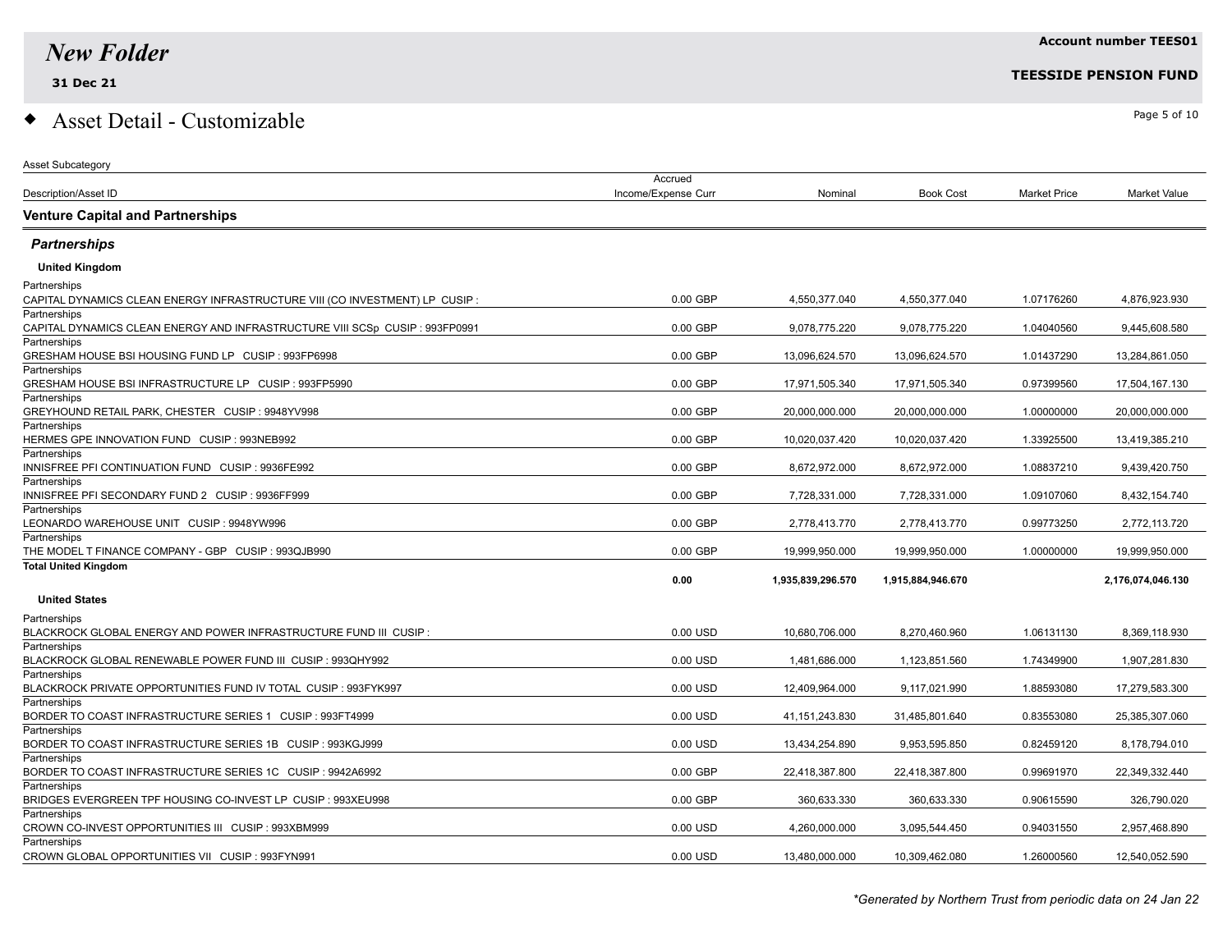Asset Subcategory

# $\bullet$  Asset Detail - Customizable  $\bullet$

|                                                                              | Accrued             |                   |                   |                     |                     |
|------------------------------------------------------------------------------|---------------------|-------------------|-------------------|---------------------|---------------------|
| Description/Asset ID                                                         | Income/Expense Curr | Nominal           | <b>Book Cost</b>  | <b>Market Price</b> | <b>Market Value</b> |
| <b>Venture Capital and Partnerships</b>                                      |                     |                   |                   |                     |                     |
| <b>Partnerships</b>                                                          |                     |                   |                   |                     |                     |
| <b>United Kingdom</b>                                                        |                     |                   |                   |                     |                     |
| Partnerships                                                                 |                     |                   |                   |                     |                     |
| CAPITAL DYNAMICS CLEAN ENERGY INFRASTRUCTURE VIII (CO INVESTMENT) LP CUSIP : | $0.00$ GBP          | 4.550.377.040     | 4.550.377.040     | 1.07176260          | 4.876.923.930       |
| Partnerships                                                                 |                     |                   |                   |                     |                     |
| CAPITAL DYNAMICS CLEAN ENERGY AND INFRASTRUCTURE VIII SCSp CUSIP : 993FP0991 | 0.00 GBP            | 9,078,775.220     | 9,078,775.220     | 1.04040560          | 9,445,608.580       |
| Partnerships                                                                 |                     |                   |                   |                     |                     |
| GRESHAM HOUSE BSI HOUSING FUND LP CUSIP : 993FP6998<br>Partnerships          | 0.00 GBP            | 13,096,624.570    | 13,096,624.570    | 1.01437290          | 13,284,861.050      |
| GRESHAM HOUSE BSI INFRASTRUCTURE LP CUSIP : 993FP5990                        | 0.00 GBP            | 17,971,505.340    | 17,971,505.340    | 0.97399560          | 17.504.167.130      |
| Partnerships                                                                 |                     |                   |                   |                     |                     |
| GREYHOUND RETAIL PARK, CHESTER CUSIP : 9948YV998                             | 0.00 GBP            | 20,000,000.000    | 20,000,000.000    | 1.00000000          | 20,000,000.000      |
| Partnerships                                                                 |                     |                   |                   |                     |                     |
| HERMES GPE INNOVATION FUND CUSIP : 993NEB992                                 | $0.00$ GBP          | 10,020,037.420    | 10,020,037.420    | 1.33925500          | 13,419,385.210      |
| Partnerships                                                                 |                     |                   |                   |                     |                     |
| INNISFREE PFI CONTINUATION FUND CUSIP : 9936FE992                            | 0.00 GBP            | 8,672,972.000     | 8,672,972.000     | 1.08837210          | 9,439,420.750       |
| Partnerships                                                                 |                     |                   |                   |                     |                     |
| INNISFREE PFI SECONDARY FUND 2 CUSIP : 9936FF999                             | 0.00 GBP            | 7,728,331.000     | 7,728,331.000     | 1.09107060          | 8,432,154.740       |
| Partnerships                                                                 |                     |                   |                   |                     |                     |
| LEONARDO WAREHOUSE UNIT CUSIP : 9948YW996<br>Partnerships                    | 0.00 GBP            | 2,778,413.770     | 2,778,413.770     | 0.99773250          | 2,772,113.720       |
| THE MODEL T FINANCE COMPANY - GBP CUSIP : 993QJB990                          | $0.00$ GBP          | 19,999,950.000    | 19.999.950.000    | 1.00000000          | 19.999.950.000      |
| <b>Total United Kingdom</b>                                                  |                     |                   |                   |                     |                     |
|                                                                              | 0.00                | 1,935,839,296.570 | 1,915,884,946.670 |                     | 2,176,074,046.130   |
|                                                                              |                     |                   |                   |                     |                     |
| <b>United States</b>                                                         |                     |                   |                   |                     |                     |
| Partnerships                                                                 |                     |                   |                   |                     |                     |
| $\,$ BLACKROCK GLOBAL ENERGY AND POWER INFRASTRUCTURE FUND III $\,$ CUSIP :  | 0.00 USD            | 10,680,706.000    | 8,270,460.960     | 1.06131130          | 8,369,118.930       |
| Partnerships<br>BLACKROCK GLOBAL RENEWABLE POWER FUND III  CUSIP : 993QHY992 | $0.00$ USD          | 1,481,686.000     | 1,123,851.560     | 1.74349900          | 1,907,281.830       |
| Partnerships                                                                 |                     |                   |                   |                     |                     |
| BLACKROCK PRIVATE OPPORTUNITIES FUND IV TOTAL CUSIP : 993FYK997              | 0.00 USD            | 12,409,964.000    | 9.117.021.990     | 1.88593080          | 17.279.583.300      |
| Partnerships                                                                 |                     |                   |                   |                     |                     |
| BORDER TO COAST INFRASTRUCTURE SERIES 1 CUSIP : 993FT4999                    | 0.00 USD            | 41, 151, 243.830  | 31,485,801.640    | 0.83553080          | 25,385,307.060      |
| Partnerships                                                                 |                     |                   |                   |                     |                     |
|                                                                              | $0.00$ USD          | 13,434,254.890    | 9.953.595.850     | 0.82459120          | 8,178,794.010       |
| Partnerships                                                                 |                     |                   |                   |                     |                     |
|                                                                              | 0.00 GBP            | 22,418,387.800    | 22,418,387.800    | 0.99691970          | 22,349,332.440      |
| Partnerships                                                                 |                     |                   |                   |                     |                     |
| BRIDGES EVERGREEN TPF HOUSING CO-INVEST LP_CUSIP : 993XEU998                 | $0.00$ GBP          | 360,633.330       | 360,633.330       | 0.90615590          | 326,790.020         |
| Partnerships<br>CROWN CO-INVEST OPPORTUNITIES III CUSIP : 993XBM999          | 0.00 USD            | 4,260,000.000     | 3,095,544.450     | 0.94031550          | 2,957,468.890       |
| Partnerships                                                                 |                     |                   |                   |                     |                     |
| CROWN GLOBAL OPPORTUNITIES VII CUSIP : 993FYN991                             | 0.00 USD            | 13,480,000.000    | 10,309,462.080    | 1.26000560          | 12,540,052.590      |
|                                                                              |                     |                   |                   |                     |                     |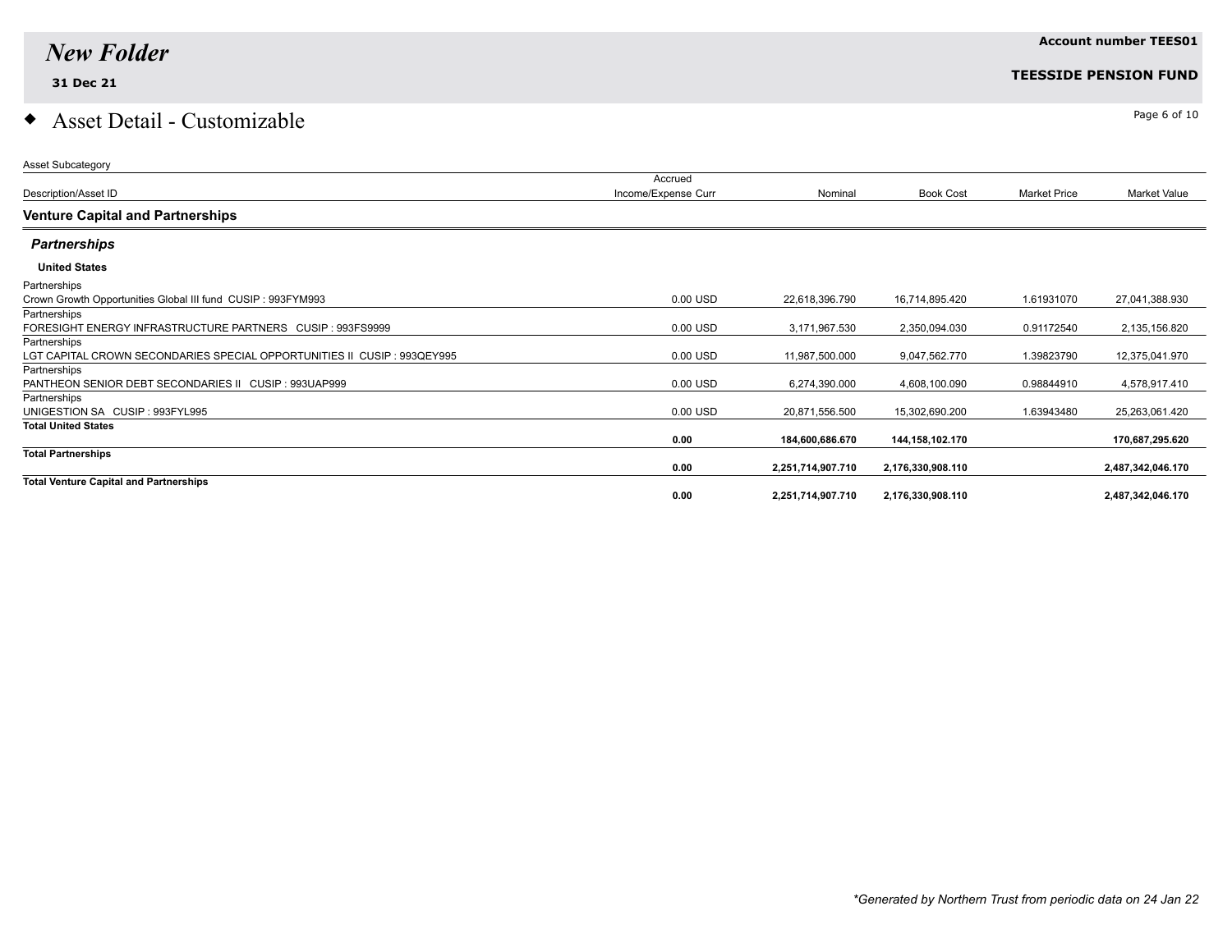# $\bullet$  Asset Detail - Customizable  $\bullet$

| <b>Account number TEES01</b> |
|------------------------------|
|                              |

| <b>Asset Subcategory</b>                                                 |                     |                   |                   |                     |                     |
|--------------------------------------------------------------------------|---------------------|-------------------|-------------------|---------------------|---------------------|
|                                                                          | Accrued             |                   |                   |                     |                     |
| Description/Asset ID                                                     | Income/Expense Curr | Nominal           | <b>Book Cost</b>  | <b>Market Price</b> | <b>Market Value</b> |
| <b>Venture Capital and Partnerships</b>                                  |                     |                   |                   |                     |                     |
| <b>Partnerships</b>                                                      |                     |                   |                   |                     |                     |
| <b>United States</b>                                                     |                     |                   |                   |                     |                     |
| Partnerships                                                             |                     |                   |                   |                     |                     |
| Crown Growth Opportunities Global III fund CUSIP: 993FYM993              | 0.00 USD            | 22,618,396.790    | 16,714,895.420    | 1.61931070          | 27,041,388.930      |
| Partnerships                                                             |                     |                   |                   |                     |                     |
| FORESIGHT ENERGY INFRASTRUCTURE PARTNERS CUSIP : 993FS9999               | 0.00 USD            | 3,171,967.530     | 2,350,094.030     | 0.91172540          | 2,135,156.820       |
| Partnerships                                                             |                     |                   |                   |                     |                     |
| LGT CAPITAL CROWN SECONDARIES SPECIAL OPPORTUNITIES II CUSIP : 993QEY995 | 0.00 USD            | 11,987,500.000    | 9,047,562.770     | 1.39823790          | 12,375,041.970      |
| Partnerships                                                             |                     |                   |                   |                     |                     |
| PANTHEON SENIOR DEBT SECONDARIES II CUSIP : 993UAP999                    | 0.00 USD            | 6,274,390.000     | 4,608,100.090     | 0.98844910          | 4,578,917.410       |
| Partnerships                                                             |                     |                   |                   |                     |                     |
| UNIGESTION SA CUSIP: 993FYL995                                           | 0.00 USD            | 20,871,556.500    | 15,302,690.200    | 1.63943480          | 25,263,061.420      |
| <b>Total United States</b>                                               |                     |                   |                   |                     |                     |
|                                                                          | 0.00                | 184,600,686.670   | 144,158,102.170   |                     | 170,687,295.620     |
| <b>Total Partnerships</b>                                                |                     |                   |                   |                     |                     |
|                                                                          | 0.00                | 2,251,714,907.710 | 2,176,330,908.110 |                     | 2,487,342,046.170   |
| <b>Total Venture Capital and Partnerships</b>                            |                     |                   |                   |                     |                     |
|                                                                          | 0.00                | 2,251,714,907.710 | 2,176,330,908.110 |                     | 2,487,342,046.170   |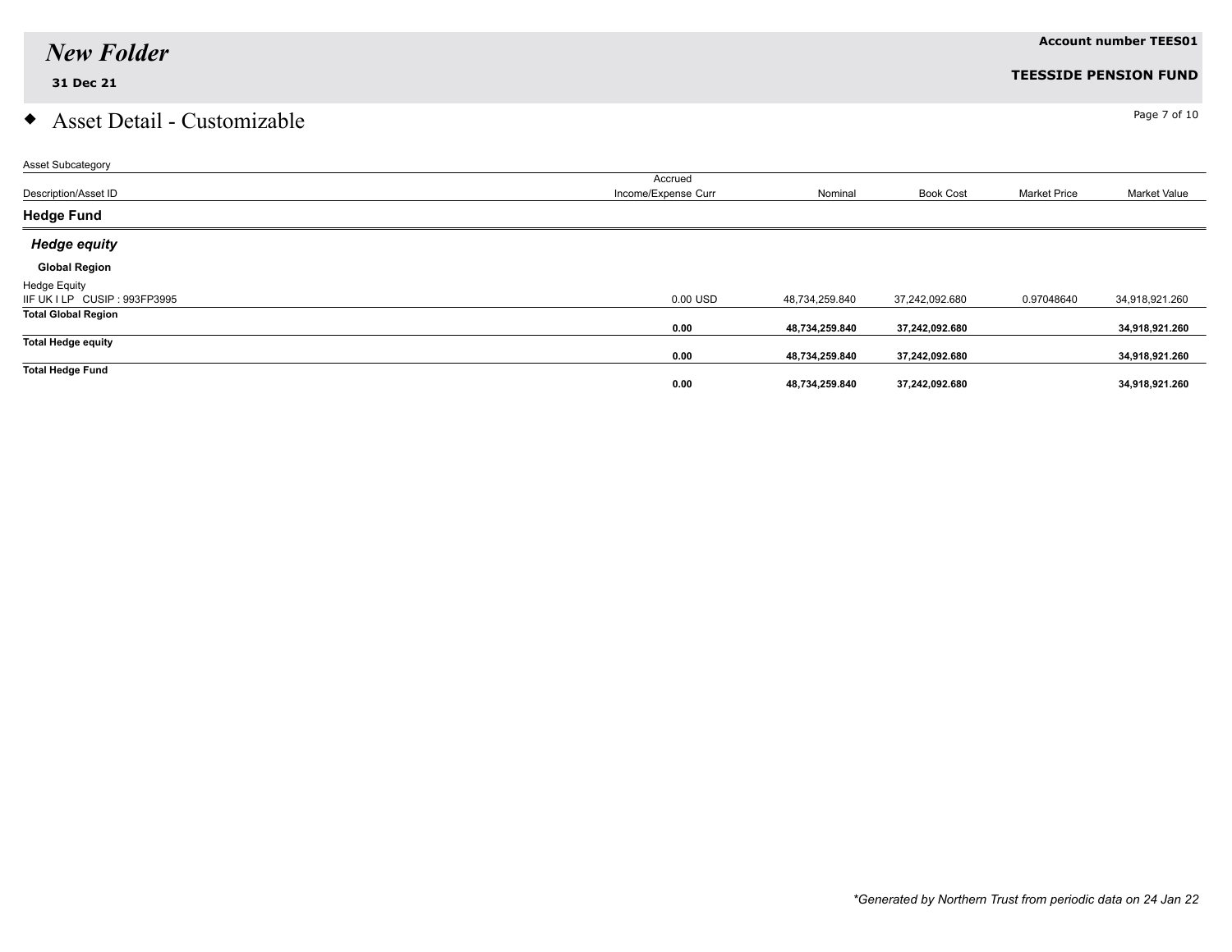# $\bullet$  Asset Detail - Customizable  $\bullet$

| Asset Subcategory             |                     |                |                  |                     |                     |
|-------------------------------|---------------------|----------------|------------------|---------------------|---------------------|
|                               | Accrued             |                |                  |                     |                     |
| Description/Asset ID          | Income/Expense Curr | Nominal        | <b>Book Cost</b> | <b>Market Price</b> | <b>Market Value</b> |
| <b>Hedge Fund</b>             |                     |                |                  |                     |                     |
| <b>Hedge equity</b>           |                     |                |                  |                     |                     |
| <b>Global Region</b>          |                     |                |                  |                     |                     |
| <b>Hedge Equity</b>           |                     |                |                  |                     |                     |
| IIF UK I LP CUSIP : 993FP3995 | 0.00 USD            | 48,734,259.840 | 37,242,092.680   | 0.97048640          | 34,918,921.260      |
| <b>Total Global Region</b>    |                     |                |                  |                     |                     |
|                               | 0.00                | 48,734,259.840 | 37,242,092.680   |                     | 34,918,921.260      |
| <b>Total Hedge equity</b>     |                     |                |                  |                     |                     |
|                               | 0.00                | 48,734,259.840 | 37,242,092.680   |                     | 34,918,921.260      |
| <b>Total Hedge Fund</b>       |                     |                |                  |                     |                     |
|                               | 0.00                | 48,734,259.840 | 37,242,092.680   |                     | 34,918,921.260      |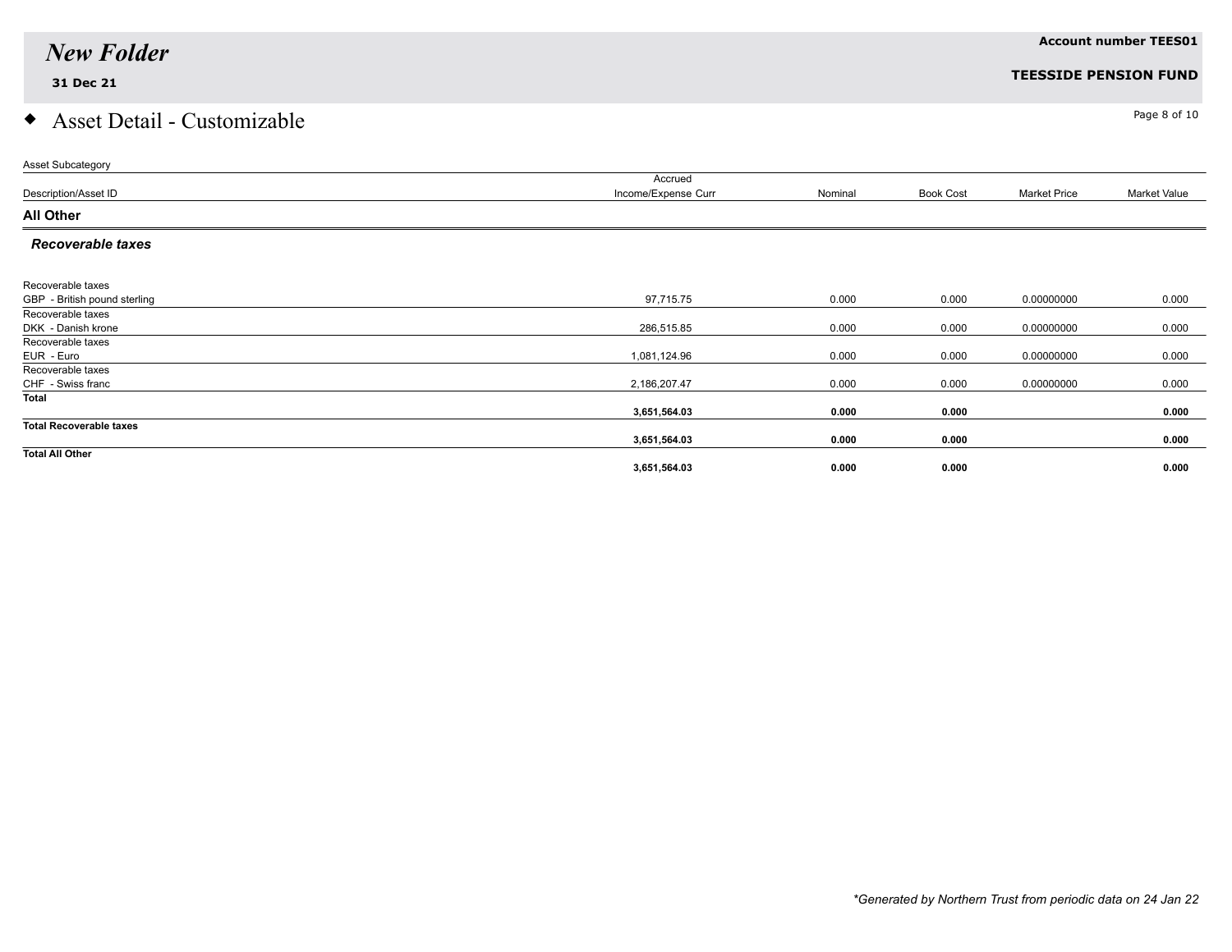## $\bullet$  Asset Detail - Customizable  $\bullet$

| <b>Asset Subcategory</b>       |                     |         |                  |                     |              |
|--------------------------------|---------------------|---------|------------------|---------------------|--------------|
|                                | Accrued             |         |                  |                     |              |
| Description/Asset ID           | Income/Expense Curr | Nominal | <b>Book Cost</b> | <b>Market Price</b> | Market Value |
| <b>All Other</b>               |                     |         |                  |                     |              |
| <b>Recoverable taxes</b>       |                     |         |                  |                     |              |
|                                |                     |         |                  |                     |              |
| Recoverable taxes              |                     |         |                  |                     |              |
| GBP - British pound sterling   | 97,715.75           | 0.000   | 0.000            | 0.00000000          | 0.000        |
| Recoverable taxes              |                     |         |                  |                     |              |
| DKK - Danish krone             | 286,515.85          | 0.000   | 0.000            | 0.00000000          | 0.000        |
| Recoverable taxes              |                     |         |                  |                     |              |
| EUR - Euro                     | 1,081,124.96        | 0.000   | 0.000            | 0.00000000          | 0.000        |
| Recoverable taxes              |                     |         |                  |                     |              |
| CHF - Swiss franc              | 2,186,207.47        | 0.000   | 0.000            | 0.00000000          | 0.000        |
| Total                          |                     |         |                  |                     |              |
|                                | 3,651,564.03        | 0.000   | 0.000            |                     | 0.000        |
| <b>Total Recoverable taxes</b> |                     |         |                  |                     |              |
|                                | 3,651,564.03        | 0.000   | 0.000            |                     | 0.000        |
| <b>Total All Other</b>         |                     |         |                  |                     |              |
|                                | 3,651,564.03        | 0.000   | 0.000            |                     | 0.000        |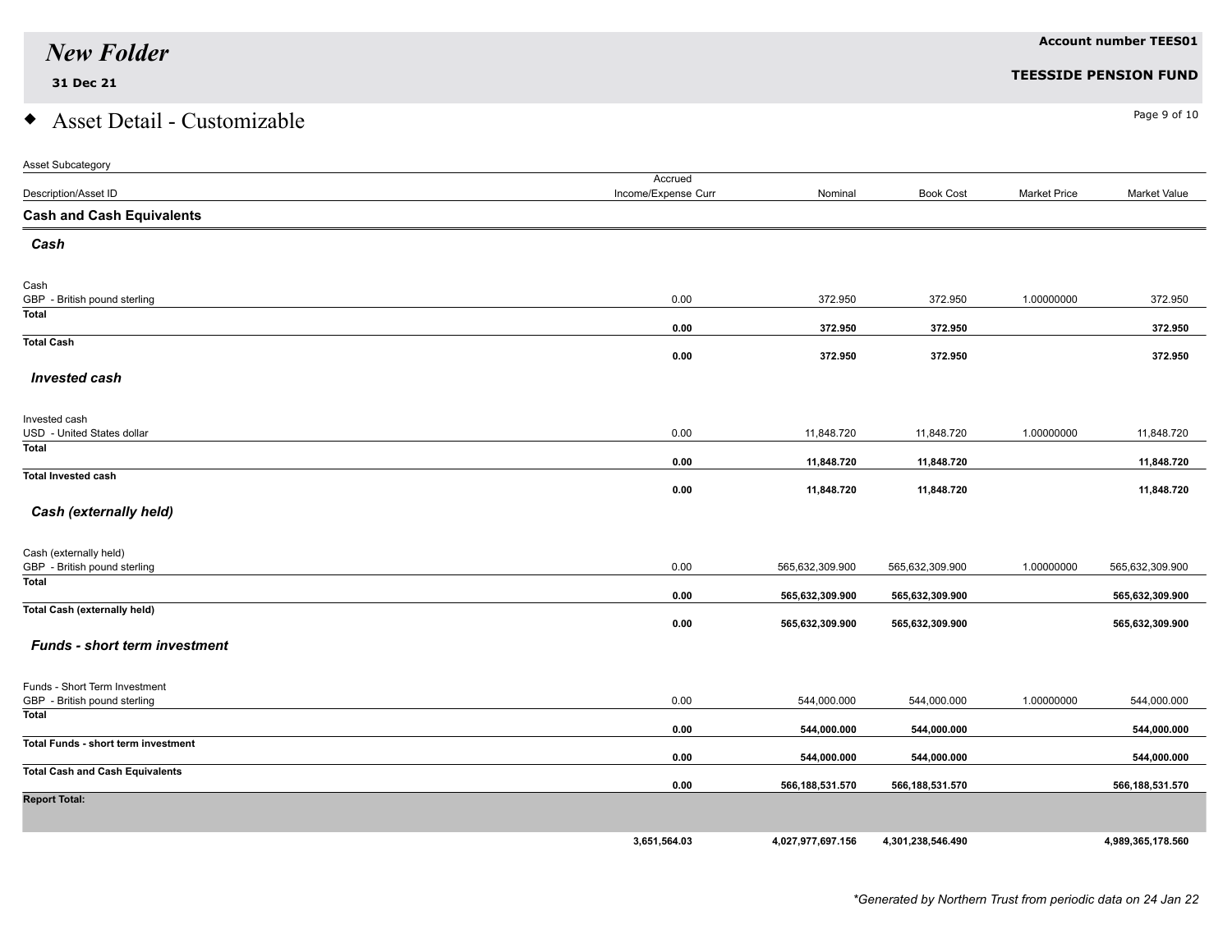# $\bullet$  Asset Detail - Customizable  $\bullet$

| Asset Subcategory                                      |                                |                   |                   |                     |                   |
|--------------------------------------------------------|--------------------------------|-------------------|-------------------|---------------------|-------------------|
| Description/Asset ID                                   | Accrued<br>Income/Expense Curr | Nominal           | <b>Book Cost</b>  | <b>Market Price</b> | Market Value      |
| <b>Cash and Cash Equivalents</b>                       |                                |                   |                   |                     |                   |
| Cash                                                   |                                |                   |                   |                     |                   |
| Cash                                                   |                                |                   |                   |                     |                   |
| GBP - British pound sterling                           | 0.00                           | 372.950           | 372.950           | 1.00000000          | 372.950           |
| <b>Total</b>                                           | 0.00                           | 372.950           | 372.950           |                     | 372.950           |
| <b>Total Cash</b>                                      | 0.00                           | 372.950           | 372.950           |                     | 372.950           |
| <b>Invested cash</b>                                   |                                |                   |                   |                     |                   |
| Invested cash                                          |                                |                   |                   |                     |                   |
| USD - United States dollar                             | 0.00                           | 11,848.720        | 11,848.720        | 1.00000000          | 11,848.720        |
| Total                                                  | 0.00                           | 11,848.720        | 11,848.720        |                     | 11,848.720        |
| <b>Total Invested cash</b>                             | 0.00                           | 11,848.720        | 11,848.720        |                     | 11,848.720        |
| Cash (externally held)                                 |                                |                   |                   |                     |                   |
|                                                        |                                |                   |                   |                     |                   |
| Cash (externally held)<br>GBP - British pound sterling | 0.00                           | 565,632,309.900   | 565,632,309.900   | 1.00000000          | 565,632,309.900   |
| Total                                                  |                                |                   |                   |                     |                   |
|                                                        | 0.00                           | 565,632,309.900   | 565,632,309.900   |                     | 565,632,309.900   |
| <b>Total Cash (externally held)</b>                    | 0.00                           | 565,632,309.900   | 565,632,309.900   |                     | 565,632,309.900   |
| <b>Funds - short term investment</b>                   |                                |                   |                   |                     |                   |
| Funds - Short Term Investment                          |                                |                   |                   |                     |                   |
| GBP - British pound sterling                           | 0.00                           | 544,000.000       | 544,000.000       | 1.00000000          | 544,000.000       |
| <b>Total</b>                                           | 0.00                           | 544,000.000       | 544,000.000       |                     | 544,000.000       |
| <b>Total Funds - short term investment</b>             |                                |                   |                   |                     | 544,000.000       |
| <b>Total Cash and Cash Equivalents</b>                 | 0.00                           | 544,000.000       | 544,000.000       |                     |                   |
|                                                        | 0.00                           | 566,188,531.570   | 566,188,531.570   |                     | 566, 188, 531.570 |
| <b>Report Total:</b>                                   |                                |                   |                   |                     |                   |
|                                                        | 3,651,564.03                   | 4,027,977,697.156 | 4,301,238,546.490 |                     | 4,989,365,178.560 |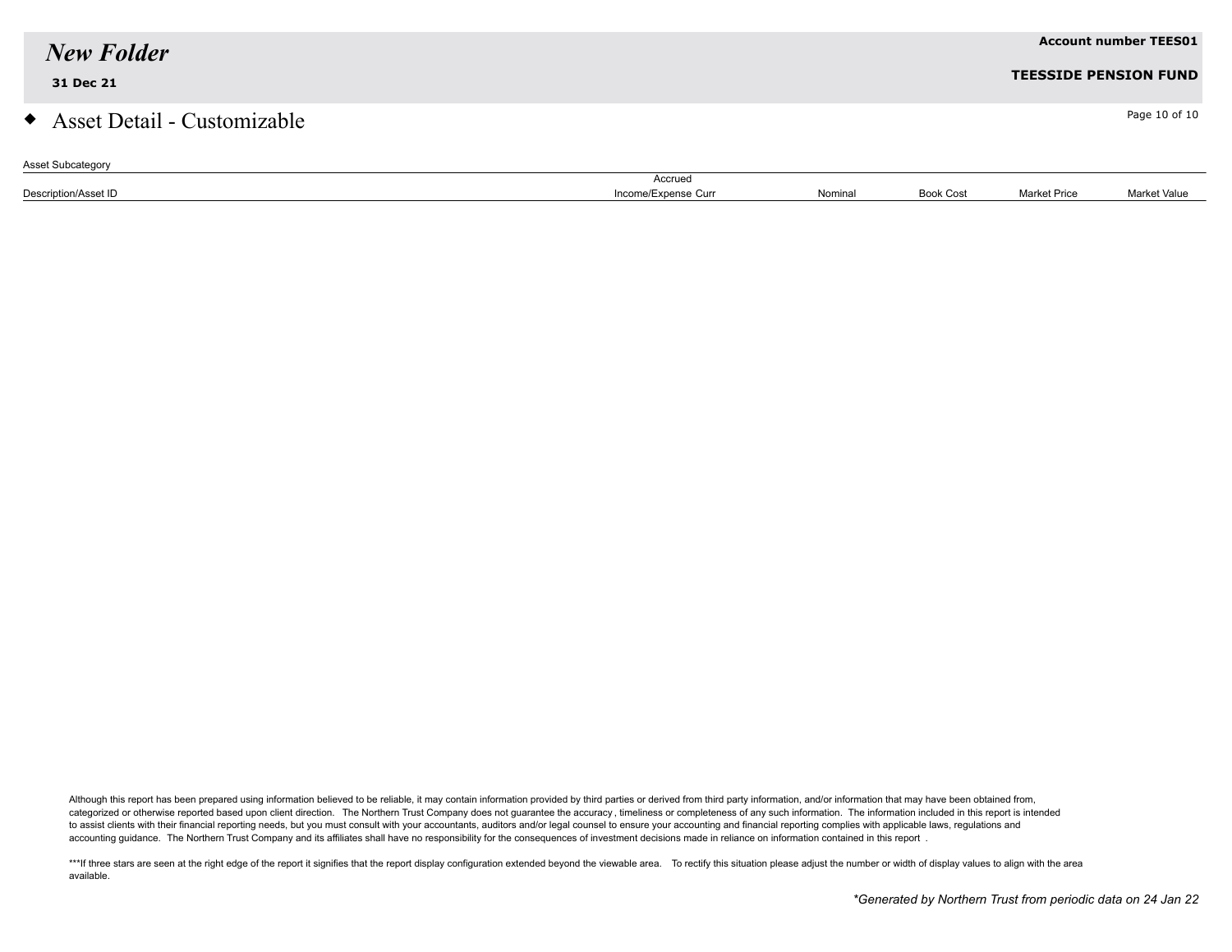| <b>New Folder</b>             |                     |         |                  |                     | <b>Account number TEES01</b> |
|-------------------------------|---------------------|---------|------------------|---------------------|------------------------------|
| 31 Dec 21                     |                     |         |                  |                     | <b>TEESSIDE PENSION FUND</b> |
| • Asset Detail - Customizable |                     |         |                  |                     | Page 10 of 10                |
| <b>Asset Subcategory</b>      | Accrued             |         |                  |                     |                              |
| Description/Asset ID          | Income/Expense Curr | Nominal | <b>Book Cost</b> | <b>Market Price</b> | Market Value                 |

Although this report has been prepared using information believed to be reliable, it may contain information provided by third parties or derived from third party information, and/or information that may have been obtained categorized or otherwise reported based upon client direction. The Northern Trust Company does not guarantee the accuracy, timeliness or completeness of any such information. The information included in this report is inte to assist clients with their financial reporting needs, but you must consult with your accountants, auditors and/or legal counsel to ensure your accounting and financial reporting complies with applicable laws, regulations accounting guidance. The Northern Trust Company and its affiliates shall have no responsibility for the consequences of investment decisions made in reliance on information contained in this report .

\*\*\*If three stars are seen at the right edge of the report it signifies that the report display configuration extended beyond the viewable area. To rectify this situation please adjust the number or width of display values available.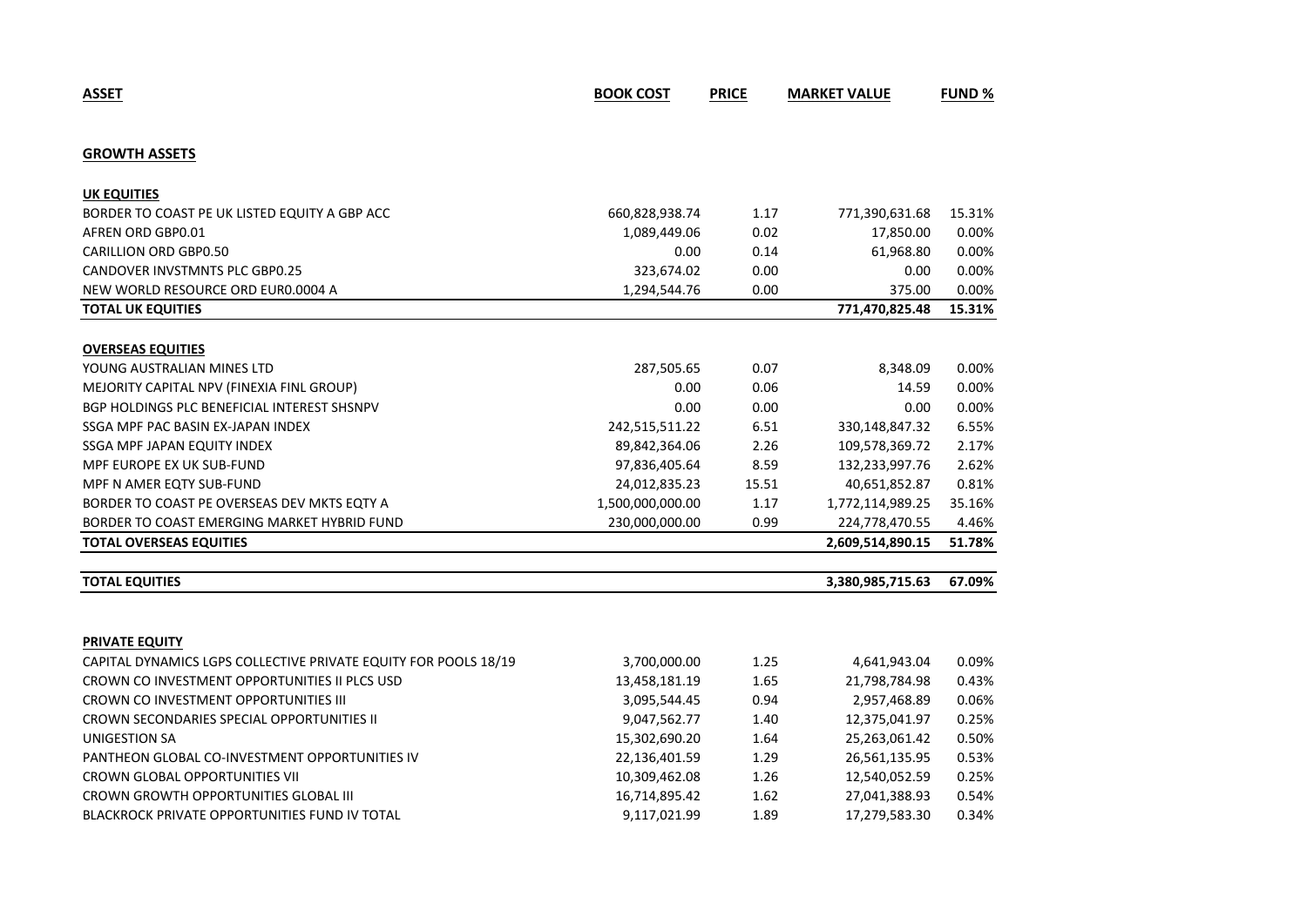| <b>GROWTH ASSETS</b>                                            |                  |       |                  |        |
|-----------------------------------------------------------------|------------------|-------|------------------|--------|
| <b>UK EQUITIES</b>                                              |                  |       |                  |        |
| BORDER TO COAST PE UK LISTED EQUITY A GBP ACC                   | 660,828,938.74   | 1.17  | 771,390,631.68   | 15.31% |
| AFREN ORD GBP0.01                                               | 1,089,449.06     | 0.02  | 17,850.00        | 0.00%  |
| <b>CARILLION ORD GBP0.50</b>                                    | 0.00             | 0.14  | 61,968.80        | 0.00%  |
| <b>CANDOVER INVSTMNTS PLC GBP0.25</b>                           | 323,674.02       | 0.00  | 0.00             | 0.00%  |
| NEW WORLD RESOURCE ORD EUR0.0004 A                              | 1,294,544.76     | 0.00  | 375.00           | 0.00%  |
| <b>TOTAL UK EQUITIES</b>                                        |                  |       | 771,470,825.48   | 15.31% |
| <b>OVERSEAS EQUITIES</b>                                        |                  |       |                  |        |
| YOUNG AUSTRALIAN MINES LTD                                      | 287,505.65       | 0.07  | 8,348.09         | 0.00%  |
| MEJORITY CAPITAL NPV (FINEXIA FINL GROUP)                       | 0.00             | 0.06  | 14.59            | 0.00%  |
| BGP HOLDINGS PLC BENEFICIAL INTEREST SHSNPV                     | 0.00             | 0.00  | 0.00             | 0.00%  |
| SSGA MPF PAC BASIN EX-JAPAN INDEX                               | 242,515,511.22   | 6.51  | 330,148,847.32   | 6.55%  |
| SSGA MPF JAPAN EQUITY INDEX                                     | 89,842,364.06    | 2.26  | 109,578,369.72   | 2.17%  |
| MPF EUROPE EX UK SUB-FUND                                       | 97,836,405.64    | 8.59  | 132,233,997.76   | 2.62%  |
| MPF N AMER EQTY SUB-FUND                                        | 24,012,835.23    | 15.51 | 40,651,852.87    | 0.81%  |
| BORDER TO COAST PE OVERSEAS DEV MKTS EQTY A                     | 1,500,000,000.00 | 1.17  | 1,772,114,989.25 | 35.16% |
| BORDER TO COAST EMERGING MARKET HYBRID FUND                     | 230,000,000.00   | 0.99  | 224,778,470.55   | 4.46%  |
| <b>TOTAL OVERSEAS EQUITIES</b>                                  |                  |       | 2,609,514,890.15 | 51.78% |
| <b>TOTAL EQUITIES</b>                                           |                  |       | 3,380,985,715.63 | 67.09% |
|                                                                 |                  |       |                  |        |
| PRIVATE EQUITY                                                  |                  |       |                  |        |
| CAPITAL DYNAMICS LGPS COLLECTIVE PRIVATE EQUITY FOR POOLS 18/19 | 3,700,000.00     | 1.25  | 4,641,943.04     | 0.09%  |
| CROWN CO INVESTMENT OPPORTUNITIES II PLCS USD                   | 13,458,181.19    | 1.65  | 21,798,784.98    | 0.43%  |
| CROWN CO INVESTMENT OPPORTUNITIES III                           | 3,095,544.45     | 0.94  | 2,957,468.89     | 0.06%  |
| CROWN SECONDARIES SPECIAL OPPORTUNITIES II                      | 9,047,562.77     | 1.40  | 12,375,041.97    | 0.25%  |
| <b>UNIGESTION SA</b>                                            | 15,302,690.20    | 1.64  | 25,263,061.42    | 0.50%  |
| PANTHEON GLOBAL CO-INVESTMENT OPPORTUNITIES IV                  | 22,136,401.59    | 1.29  | 26,561,135.95    | 0.53%  |
| <b>CROWN GLOBAL OPPORTUNITIES VII</b>                           | 10,309,462.08    | 1.26  | 12,540,052.59    | 0.25%  |
| CROWN GROWTH OPPORTUNITIES GLOBAL III                           | 16,714,895.42    | 1.62  | 27,041,388.93    | 0.54%  |
| BLACKROCK PRIVATE OPPORTUNITIES FUND IV TOTAL                   | 9,117,021.99     | 1.89  | 17,279,583.30    | 0.34%  |

**ASSET BOOK COST PRICE MARKET VALUE FUND %**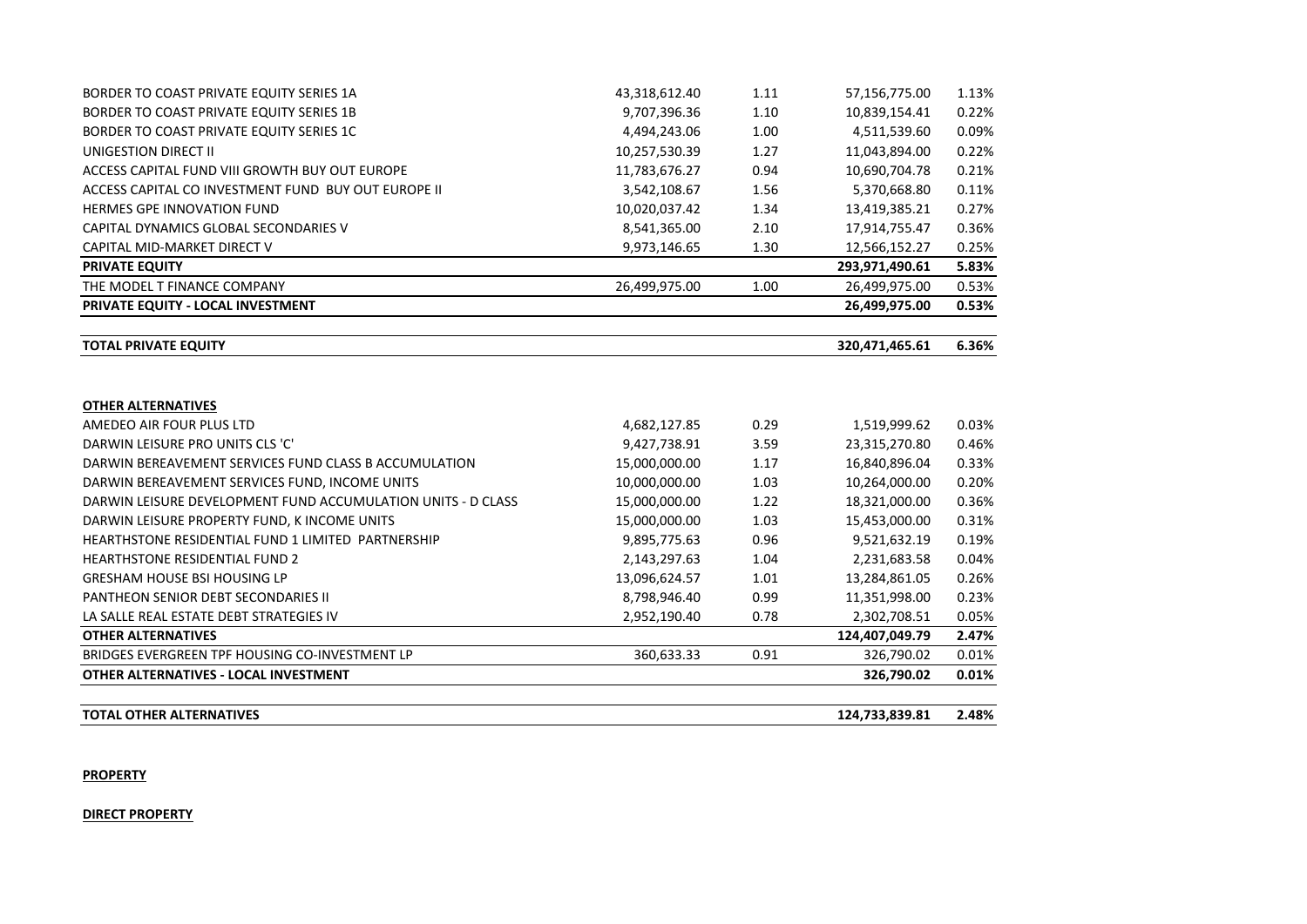| BORDER TO COAST PRIVATE EQUITY SERIES 1A                     | 43,318,612.40 | 1.11 | 57,156,775.00  | 1.13% |
|--------------------------------------------------------------|---------------|------|----------------|-------|
| BORDER TO COAST PRIVATE EQUITY SERIES 1B                     | 9,707,396.36  | 1.10 | 10,839,154.41  | 0.22% |
| BORDER TO COAST PRIVATE EQUITY SERIES 1C                     | 4,494,243.06  | 1.00 | 4,511,539.60   | 0.09% |
| UNIGESTION DIRECT II                                         | 10,257,530.39 | 1.27 | 11,043,894.00  | 0.22% |
| ACCESS CAPITAL FUND VIII GROWTH BUY OUT EUROPE               | 11,783,676.27 | 0.94 | 10,690,704.78  | 0.21% |
| ACCESS CAPITAL CO INVESTMENT FUND BUY OUT EUROPE II          | 3,542,108.67  | 1.56 | 5,370,668.80   | 0.11% |
| <b>HERMES GPE INNOVATION FUND</b>                            | 10,020,037.42 | 1.34 | 13,419,385.21  | 0.27% |
| CAPITAL DYNAMICS GLOBAL SECONDARIES V                        | 8,541,365.00  | 2.10 | 17,914,755.47  | 0.36% |
| CAPITAL MID-MARKET DIRECT V                                  | 9,973,146.65  | 1.30 | 12,566,152.27  | 0.25% |
| <b>PRIVATE EQUITY</b>                                        |               |      | 293,971,490.61 | 5.83% |
| THE MODEL T FINANCE COMPANY                                  | 26,499,975.00 | 1.00 | 26,499,975.00  | 0.53% |
| PRIVATE EQUITY - LOCAL INVESTMENT                            |               |      | 26,499,975.00  | 0.53% |
|                                                              |               |      |                |       |
| <b>TOTAL PRIVATE EQUITY</b>                                  |               |      | 320,471,465.61 | 6.36% |
|                                                              |               |      |                |       |
| <b>OTHER ALTERNATIVES</b>                                    |               |      |                |       |
| AMEDEO AIR FOUR PLUS LTD                                     | 4,682,127.85  | 0.29 | 1,519,999.62   | 0.03% |
| DARWIN LEISURE PRO UNITS CLS 'C'                             | 9,427,738.91  | 3.59 | 23,315,270.80  | 0.46% |
| DARWIN BEREAVEMENT SERVICES FUND CLASS B ACCUMULATION        | 15,000,000.00 | 1.17 | 16,840,896.04  | 0.33% |
| DARWIN BEREAVEMENT SERVICES FUND, INCOME UNITS               | 10,000,000.00 | 1.03 | 10,264,000.00  | 0.20% |
| DARWIN LEISURE DEVELOPMENT FUND ACCUMULATION UNITS - D CLASS | 15,000,000.00 | 1.22 | 18,321,000.00  | 0.36% |
| DARWIN LEISURE PROPERTY FUND, K INCOME UNITS                 | 15,000,000.00 | 1.03 | 15,453,000.00  | 0.31% |
| HEARTHSTONE RESIDENTIAL FUND 1 LIMITED PARTNERSHIP           | 9,895,775.63  | 0.96 | 9,521,632.19   | 0.19% |
| <b>HEARTHSTONE RESIDENTIAL FUND 2</b>                        | 2,143,297.63  | 1.04 | 2,231,683.58   | 0.04% |
| <b>GRESHAM HOUSE BSI HOUSING LP</b>                          | 13,096,624.57 | 1.01 | 13,284,861.05  | 0.26% |
| PANTHEON SENIOR DEBT SECONDARIES II                          | 8,798,946.40  | 0.99 | 11,351,998.00  | 0.23% |
| LA SALLE REAL ESTATE DEBT STRATEGIES IV                      | 2,952,190.40  | 0.78 | 2,302,708.51   | 0.05% |
| <b>OTHER ALTERNATIVES</b>                                    |               |      | 124,407,049.79 | 2.47% |
| BRIDGES EVERGREEN TPF HOUSING CO-INVESTMENT LP               | 360,633.33    | 0.91 | 326,790.02     | 0.01% |
| OTHER ALTERNATIVES - LOCAL INVESTMENT                        |               |      | 326,790.02     | 0.01% |
|                                                              |               |      |                |       |

| 2.48%<br>124,733,839.81<br>L OTHER ALTERNATIVES<br><b>TOTAL</b> |
|-----------------------------------------------------------------|
|-----------------------------------------------------------------|

#### **PROPERTY**

**DIRECT PROPERTY**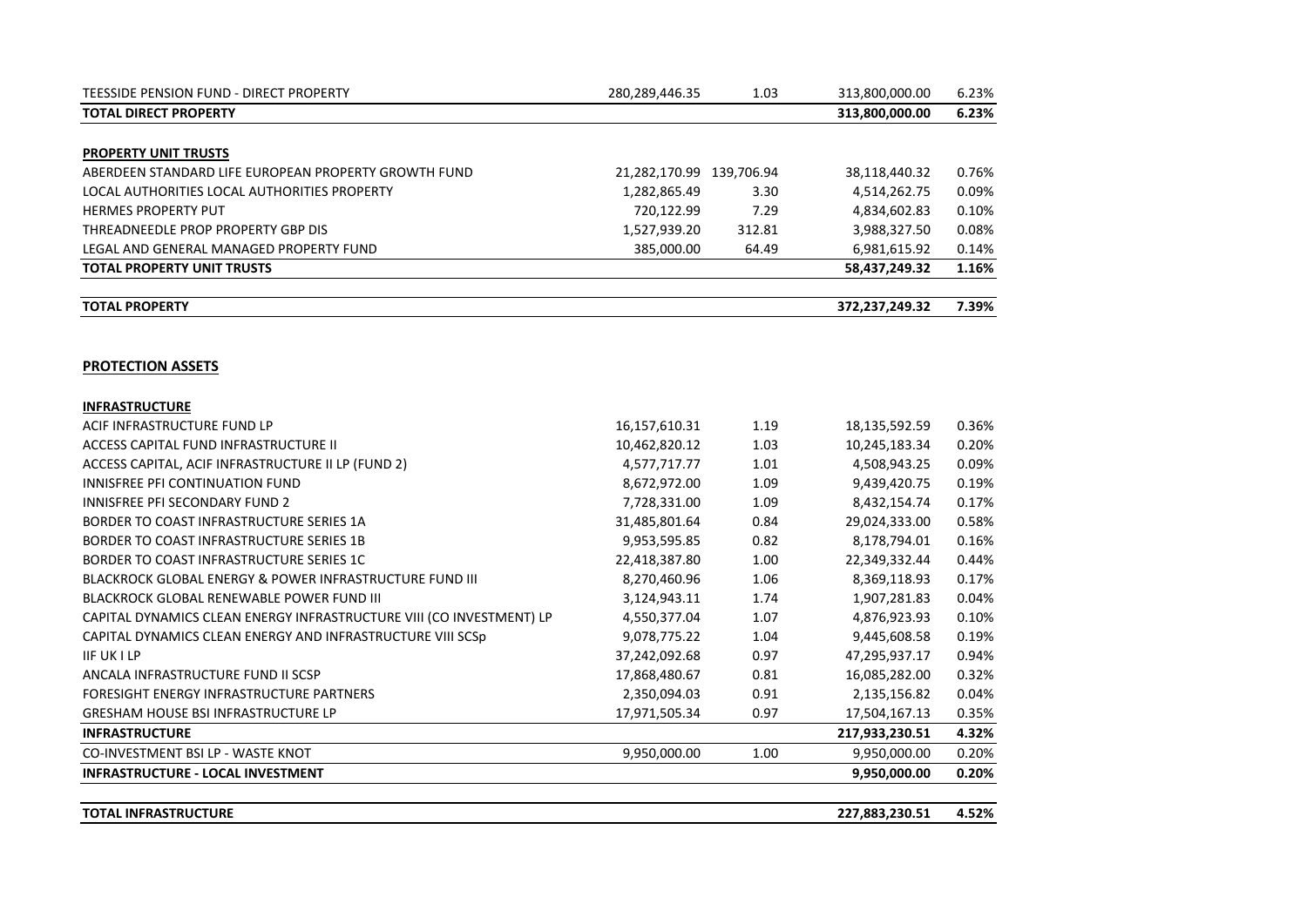| <b>TOTAL INFRASTRUCTURE</b>                                          |                          |        | 227,883,230.51 | 4.52% |
|----------------------------------------------------------------------|--------------------------|--------|----------------|-------|
| INFRASTRUCTURE - LOCAL INVESTMENT                                    |                          |        | 9,950,000.00   | 0.20% |
| CO-INVESTMENT BSI LP - WASTE KNOT                                    | 9,950,000.00             | 1.00   | 9,950,000.00   | 0.20% |
| <b>INFRASTRUCTURE</b>                                                |                          |        | 217,933,230.51 | 4.32% |
| <b>GRESHAM HOUSE BSI INFRASTRUCTURE LP</b>                           | 17,971,505.34            | 0.97   | 17,504,167.13  | 0.35% |
| FORESIGHT ENERGY INFRASTRUCTURE PARTNERS                             | 2,350,094.03             | 0.91   | 2,135,156.82   | 0.04% |
| ANCALA INFRASTRUCTURE FUND II SCSP                                   | 17,868,480.67            | 0.81   | 16,085,282.00  | 0.32% |
| <b>IIF UK I LP</b>                                                   | 37,242,092.68            | 0.97   | 47,295,937.17  | 0.94% |
| CAPITAL DYNAMICS CLEAN ENERGY AND INFRASTRUCTURE VIII SCSp           | 9,078,775.22             | 1.04   | 9,445,608.58   | 0.19% |
| CAPITAL DYNAMICS CLEAN ENERGY INFRASTRUCTURE VIII (CO INVESTMENT) LP | 4,550,377.04             | 1.07   | 4,876,923.93   | 0.10% |
| BLACKROCK GLOBAL RENEWABLE POWER FUND III                            | 3,124,943.11             | 1.74   | 1,907,281.83   | 0.04% |
| <b>BLACKROCK GLOBAL ENERGY &amp; POWER INFRASTRUCTURE FUND III</b>   | 8,270,460.96             | 1.06   | 8,369,118.93   | 0.17% |
| BORDER TO COAST INFRASTRUCTURE SERIES 1C                             | 22,418,387.80            | 1.00   | 22,349,332.44  | 0.44% |
| BORDER TO COAST INFRASTRUCTURE SERIES 1B                             | 9,953,595.85             | 0.82   | 8,178,794.01   | 0.16% |
| BORDER TO COAST INFRASTRUCTURE SERIES 1A                             | 31,485,801.64            | 0.84   | 29,024,333.00  | 0.58% |
| <b>INNISFREE PFI SECONDARY FUND 2</b>                                | 7,728,331.00             | 1.09   | 8,432,154.74   | 0.17% |
| INNISFREE PFI CONTINUATION FUND                                      | 8,672,972.00             | 1.09   | 9,439,420.75   | 0.19% |
| ACCESS CAPITAL, ACIF INFRASTRUCTURE II LP (FUND 2)                   | 4,577,717.77             | 1.01   | 4,508,943.25   | 0.09% |
| ACCESS CAPITAL FUND INFRASTRUCTURE II                                | 10,462,820.12            | 1.03   | 10,245,183.34  | 0.20% |
| ACIF INFRASTRUCTURE FUND LP                                          | 16,157,610.31            | 1.19   | 18,135,592.59  | 0.36% |
| <b>INFRASTRUCTURE</b>                                                |                          |        |                |       |
| <b>PROTECTION ASSETS</b>                                             |                          |        |                |       |
| <b>TOTAL PROPERTY</b>                                                |                          |        | 372,237,249.32 | 7.39% |
| <b>TOTAL PROPERTY UNIT TRUSTS</b>                                    |                          |        | 58,437,249.32  | 1.16% |
| LEGAL AND GENERAL MANAGED PROPERTY FUND                              | 385,000.00               | 64.49  | 6,981,615.92   | 0.14% |
| THREADNEEDLE PROP PROPERTY GBP DIS                                   | 1,527,939.20             | 312.81 | 3,988,327.50   | 0.08% |
| <b>HERMES PROPERTY PUT</b>                                           | 720,122.99               | 7.29   | 4,834,602.83   | 0.10% |
| LOCAL AUTHORITIES LOCAL AUTHORITIES PROPERTY                         | 1,282,865.49             | 3.30   | 4,514,262.75   | 0.09% |
| ABERDEEN STANDARD LIFE EUROPEAN PROPERTY GROWTH FUND                 | 21,282,170.99 139,706.94 |        | 38,118,440.32  | 0.76% |
| <b>PROPERTY UNIT TRUSTS</b>                                          |                          |        |                |       |
| <b>TOTAL DIRECT PROPERTY</b>                                         |                          |        | 313,800,000.00 | 6.23% |
| TEESSIDE PENSION FUND - DIRECT PROPERTY                              | 280,289,446.35           | 1.03   | 313,800,000.00 | 6.23% |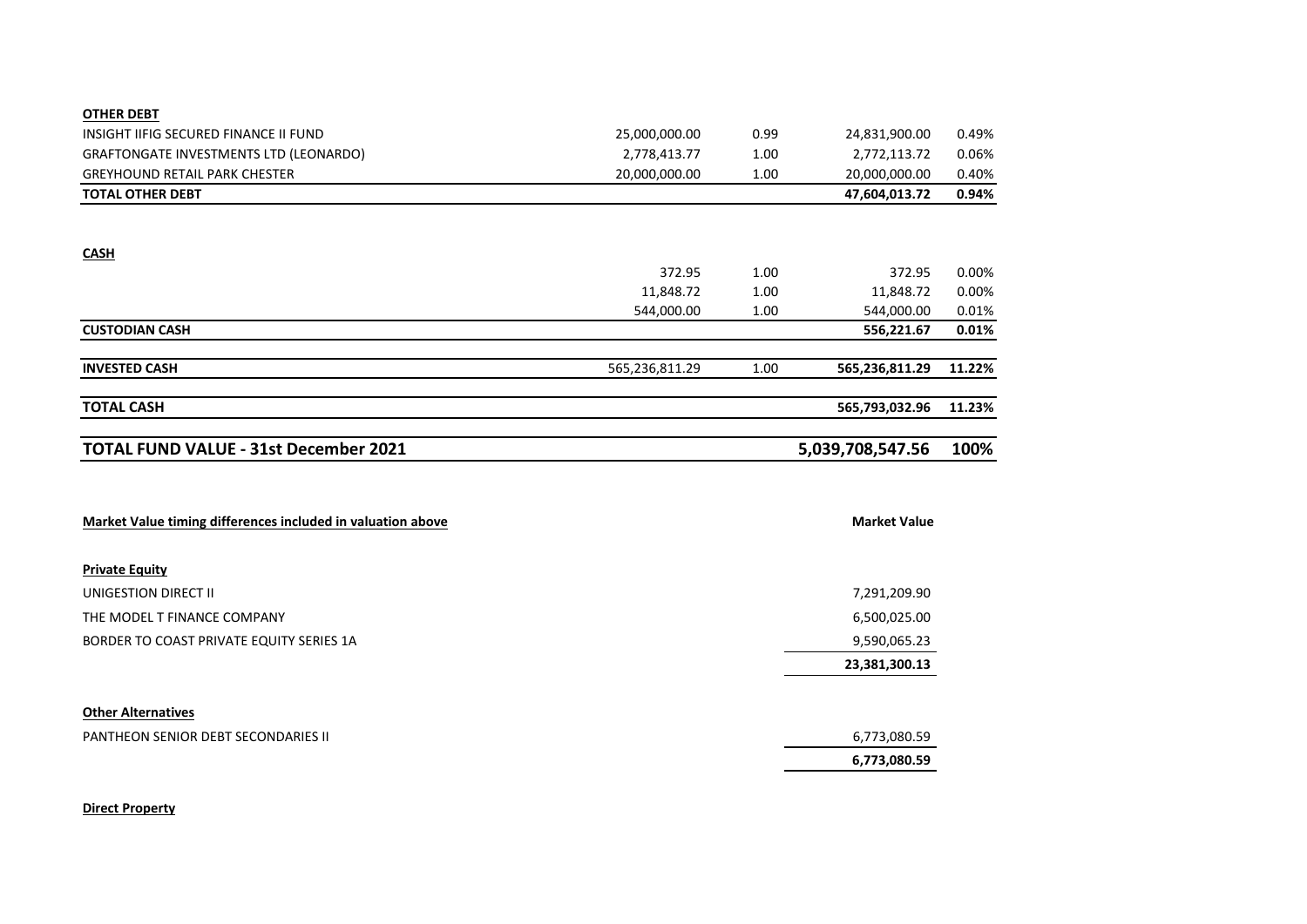| <b>OTHER DEBT</b>                                           |                |      |                     |        |
|-------------------------------------------------------------|----------------|------|---------------------|--------|
| INSIGHT IIFIG SECURED FINANCE II FUND                       | 25,000,000.00  | 0.99 | 24,831,900.00       | 0.49%  |
| GRAFTONGATE INVESTMENTS LTD (LEONARDO)                      | 2,778,413.77   | 1.00 | 2,772,113.72        | 0.06%  |
| <b>GREYHOUND RETAIL PARK CHESTER</b>                        | 20,000,000.00  | 1.00 | 20,000,000.00       | 0.40%  |
| <b>TOTAL OTHER DEBT</b>                                     |                |      | 47,604,013.72       | 0.94%  |
|                                                             |                |      |                     |        |
| <b>CASH</b>                                                 |                |      |                     |        |
|                                                             | 372.95         | 1.00 | 372.95              | 0.00%  |
|                                                             | 11,848.72      | 1.00 | 11,848.72           | 0.00%  |
|                                                             | 544,000.00     | 1.00 | 544,000.00          | 0.01%  |
| <b>CUSTODIAN CASH</b>                                       |                |      | 556,221.67          | 0.01%  |
|                                                             |                |      |                     |        |
| <b>INVESTED CASH</b>                                        | 565,236,811.29 | 1.00 | 565,236,811.29      | 11.22% |
| <b>TOTAL CASH</b>                                           |                |      | 565,793,032.96      | 11.23% |
|                                                             |                |      |                     |        |
|                                                             |                |      |                     |        |
| <b>TOTAL FUND VALUE - 31st December 2021</b>                |                |      | 5,039,708,547.56    | 100%   |
|                                                             |                |      |                     |        |
|                                                             |                |      |                     |        |
| Market Value timing differences included in valuation above |                |      | <b>Market Value</b> |        |
| <b>Private Equity</b>                                       |                |      |                     |        |
| UNIGESTION DIRECT II                                        |                |      | 7,291,209.90        |        |
| THE MODEL T FINANCE COMPANY                                 |                |      | 6,500,025.00        |        |
| BORDER TO COAST PRIVATE EQUITY SERIES 1A                    |                |      | 9,590,065.23        |        |
|                                                             |                |      | 23,381,300.13       |        |
|                                                             |                |      |                     |        |
| <b>Other Alternatives</b>                                   |                |      |                     |        |
| PANTHEON SENIOR DEBT SECONDARIES II                         |                |      | 6,773,080.59        |        |

#### **Direct Property**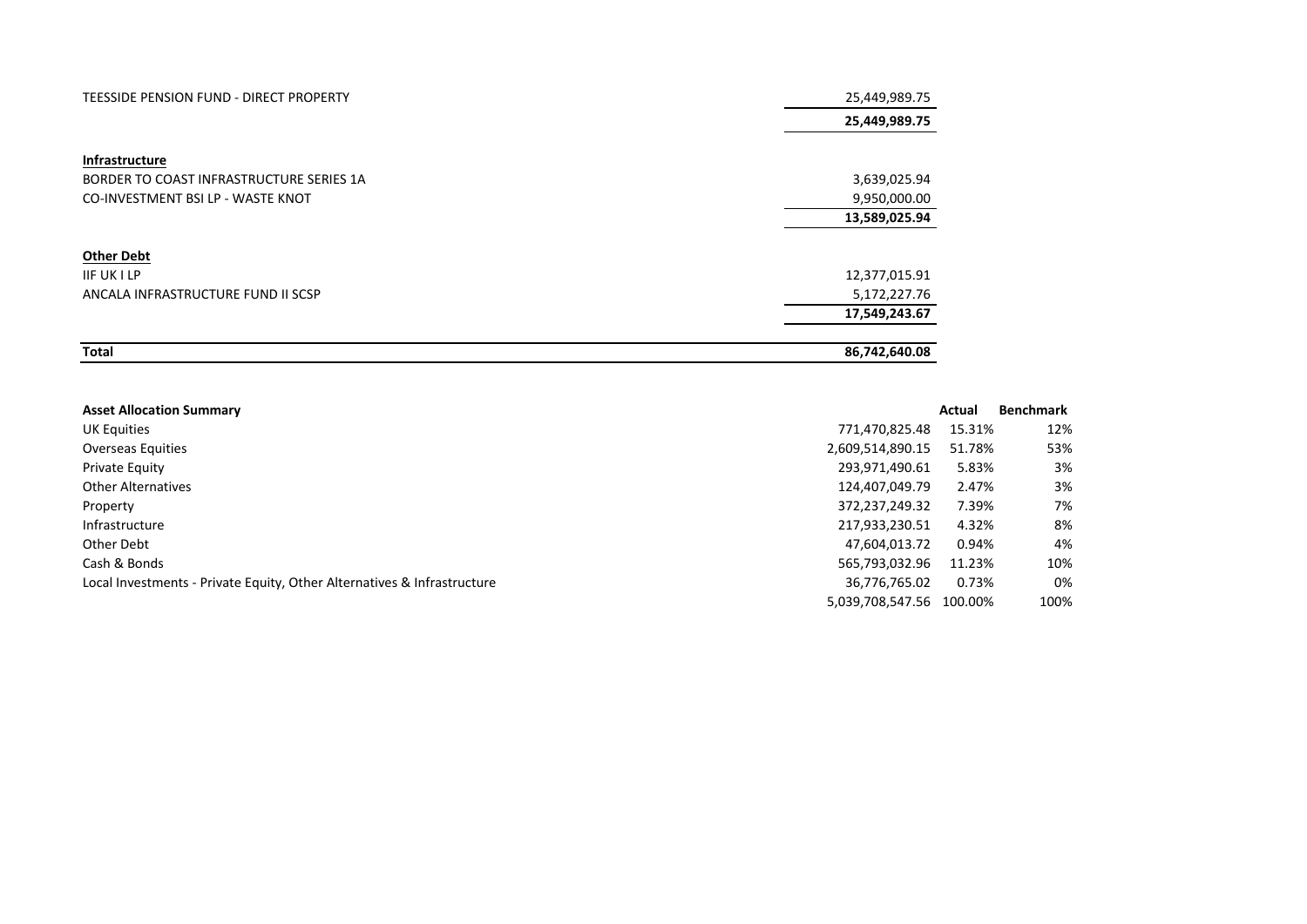| TEESSIDE PENSION FUND - DIRECT PROPERTY  | 25,449,989.75 |
|------------------------------------------|---------------|
|                                          | 25,449,989.75 |
|                                          |               |
| Infrastructure                           |               |
| BORDER TO COAST INFRASTRUCTURE SERIES 1A | 3,639,025.94  |
| CO-INVESTMENT BSI LP - WASTE KNOT        | 9,950,000.00  |
|                                          | 13,589,025.94 |
|                                          |               |
| <b>Other Debt</b>                        |               |
| <b>IIF UK I LP</b>                       | 12,377,015.91 |
| ANCALA INFRASTRUCTURE FUND II SCSP       | 5,172,227.76  |
|                                          | 17,549,243.67 |
|                                          |               |
| <b>Total</b>                             | 86,742,640.08 |

| <b>Asset Allocation Summary</b>                                         |                  | Actual  | <b>Benchmark</b> |
|-------------------------------------------------------------------------|------------------|---------|------------------|
| UK Equities                                                             | 771,470,825.48   | 15.31%  | 12%              |
| <b>Overseas Equities</b>                                                | 2,609,514,890.15 | 51.78%  | 53%              |
| Private Equity                                                          | 293,971,490.61   | 5.83%   | 3%               |
| <b>Other Alternatives</b>                                               | 124,407,049.79   | 2.47%   | 3%               |
| Property                                                                | 372,237,249.32   | 7.39%   | 7%               |
| Infrastructure                                                          | 217,933,230.51   | 4.32%   | 8%               |
| Other Debt                                                              | 47,604,013.72    | 0.94%   | 4%               |
| Cash & Bonds                                                            | 565,793,032.96   | 11.23%  | 10%              |
| Local Investments - Private Equity, Other Alternatives & Infrastructure | 36,776,765.02    | 0.73%   | 0%               |
|                                                                         | 5,039,708,547.56 | 100.00% | 100%             |